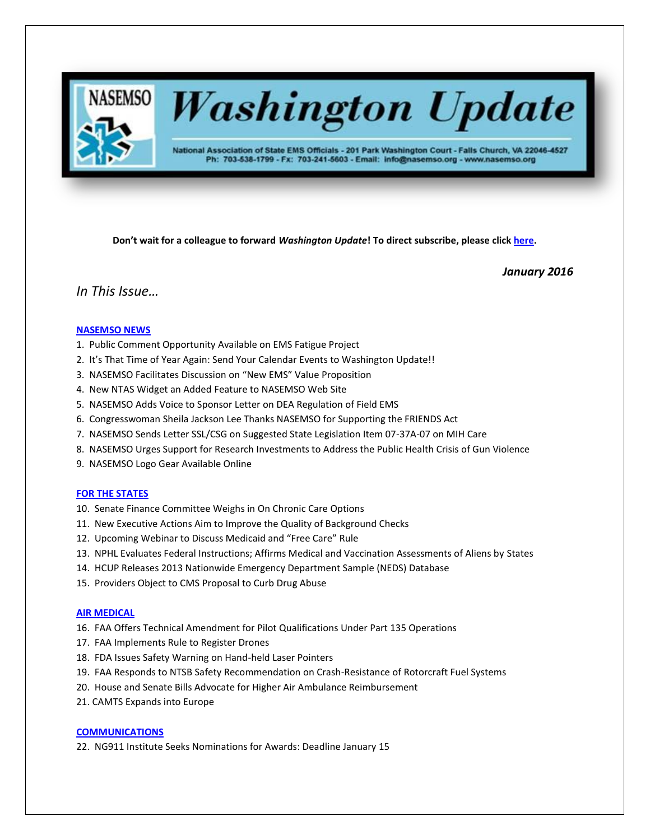

# **Washington Update**

National Association of State EMS Officials - 201 Park Washington Court - Falls Church, VA 22046-4527 Ph: 703-538-1799 - Fx: 703-241-5603 - Email: info@nasemso.org - www.nasemso.org

**Don't wait for a colleague to forward** *Washington Update***! To direct subscribe, please click [here.](http://lists.nasemso.org/read/all_forums/subscribe?name=wu%20)**

*January 2016*

# *In This Issue…*

# **[NASEMSO NEWS](#page-2-0)**

- 1. Public Comment Opportunity Available on EMS Fatigue Project
- 2. It's That Time of Year Again: Send Your Calendar Events to Washington Update!!
- 3. NASEMSO Facilitates Discussion on "New EMS" Value Proposition
- 4. New NTAS Widget an Added Feature to NASEMSO Web Site
- 5. NASEMSO Adds Voice to Sponsor Letter on DEA Regulation of Field EMS
- 6. Congresswoman Sheila Jackson Lee Thanks NASEMSO for Supporting the FRIENDS Act
- 7. NASEMSO Sends Letter SSL/CSG on Suggested State Legislation Item 07-37A-07 on MIH Care
- 8. NASEMSO Urges Support for Research Investments to Address the Public Health Crisis of Gun Violence
- 9. NASEMSO Logo Gear Available Online

#### **[FOR THE STATES](#page-4-0)**

- 10. Senate Finance Committee Weighs in On Chronic Care Options
- 11. New Executive Actions Aim to Improve the Quality of Background Checks
- 12. Upcoming Webinar to Discuss Medicaid and "Free Care" Rule
- 13. NPHL Evaluates Federal Instructions; Affirms Medical and Vaccination Assessments of Aliens by States
- 14. HCUP Releases 2013 Nationwide Emergency Department Sample (NEDS) Database
- 15. Providers Object to CMS Proposal to Curb Drug Abuse

### **[AIR MEDICAL](#page-6-0)**

- 16. FAA Offers Technical Amendment for Pilot Qualifications Under Part 135 Operations
- 17. FAA Implements Rule to Register Drones
- 18. FDA Issues Safety Warning on Hand-held Laser Pointers
- 19. FAA Responds to NTSB Safety Recommendation on Crash-Resistance of Rotorcraft Fuel Systems
- 20. House and Senate Bills Advocate for Higher Air Ambulance Reimbursement
- 21. CAMTS Expands into Europe

#### **[COMMUNICATIONS](#page-7-0)**

22. NG911 Institute Seeks Nominations for Awards: Deadline January 15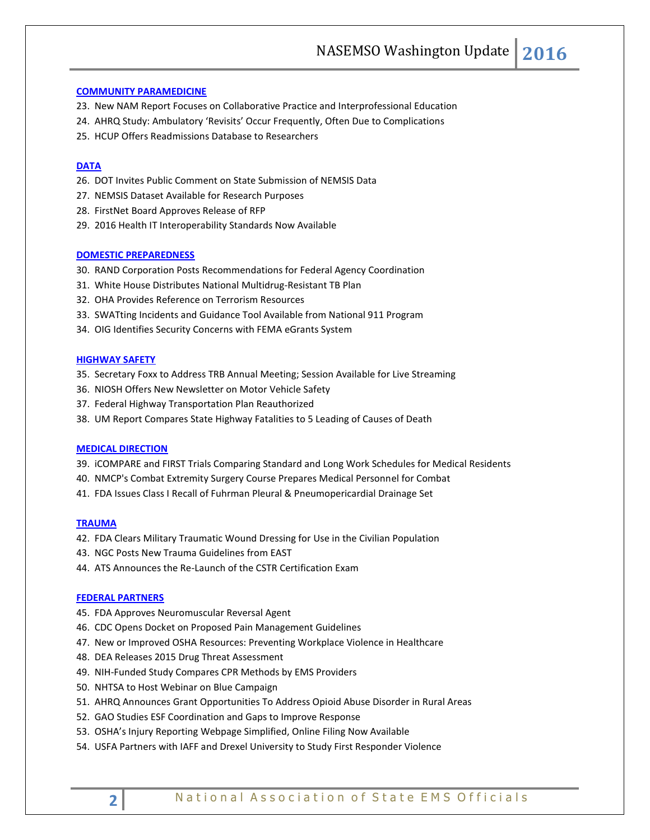#### **[COMMUNITY PARAMEDICINE](#page-8-0)**

- 23. New NAM Report Focuses on Collaborative Practice and Interprofessional Education
- 24. AHRQ Study: Ambulatory 'Revisits' Occur Frequently, Often Due to Complications
- 25. HCUP Offers Readmissions Database to Researchers

# **[DATA](#page-9-0)**

- 26. DOT Invites Public Comment on State Submission of NEMSIS Data
- 27. NEMSIS Dataset Available for Research Purposes
- 28. FirstNet Board Approves Release of RFP
- 29. 2016 Health IT Interoperability Standards Now Available

#### **[DOMESTIC PREPAREDNESS](#page-10-0)**

- 30. RAND Corporation Posts Recommendations for Federal Agency Coordination
- 31. White House Distributes National Multidrug-Resistant TB Plan
- 32. OHA Provides Reference on Terrorism Resources
- 33. SWATting Incidents and Guidance Tool Available from National 911 Program
- 34. OIG Identifies Security Concerns with FEMA eGrants System

#### **[HIGHWAY SAFETY](#page-11-0)**

- 35. Secretary Foxx to Address TRB Annual Meeting; Session Available for Live Streaming
- 36. NIOSH Offers New Newsletter on Motor Vehicle Safety
- 37. Federal Highway Transportation Plan Reauthorized
- 38. UM Report Compares State Highway Fatalities to 5 Leading of Causes of Death

#### **[MEDICAL DIRECTION](#page-12-0)**

- 39. iCOMPARE and FIRST Trials Comparing Standard and Long Work Schedules for Medical Residents
- 40. NMCP's Combat Extremity Surgery Course Prepares Medical Personnel for Combat
- 41. FDA Issues Class I Recall of Fuhrman Pleural & Pneumopericardial Drainage Set

#### **[TRAUMA](#page-13-0)**

- 42. FDA Clears Military Traumatic Wound Dressing for Use in the Civilian Population
- 43. NGC Posts New Trauma Guidelines from EAST
- 44. ATS Announces the Re-Launch of the CSTR Certification Exam

#### **[FEDERAL PARTNERS](#page-14-0)**

- 45. FDA Approves Neuromuscular Reversal Agent
- 46. CDC Opens Docket on Proposed Pain Management Guidelines
- 47. New or Improved OSHA Resources: Preventing Workplace Violence in Healthcare
- 48. DEA Releases 2015 Drug Threat Assessment
- 49. NIH-Funded Study Compares CPR Methods by EMS Providers
- 50. NHTSA to Host Webinar on Blue Campaign
- 51. AHRQ Announces Grant Opportunities To Address Opioid Abuse Disorder in Rural Areas
- 52. GAO Studies ESF Coordination and Gaps to Improve Response
- 53. OSHA's Injury Reporting Webpage Simplified, Online Filing Now Available
- 54. USFA Partners with IAFF and Drexel University to Study First Responder Violence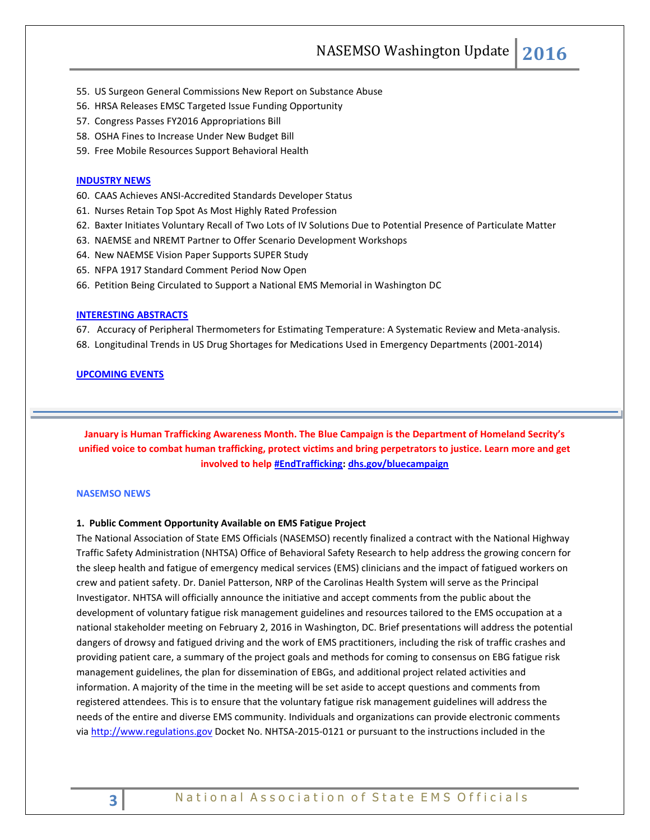NASEMSO Washington Update **2016**

- 55. US Surgeon General Commissions New Report on Substance Abuse
- 56. HRSA Releases EMSC Targeted Issue Funding Opportunity
- 57. Congress Passes FY2016 Appropriations Bill
- 58. OSHA Fines to Increase Under New Budget Bill
- 59. Free Mobile Resources Support Behavioral Health

#### **[INDUSTRY NEWS](#page-18-0)**

- 60. CAAS Achieves ANSI-Accredited Standards Developer Status
- 61. Nurses Retain Top Spot As Most Highly Rated Profession
- 62. Baxter Initiates Voluntary Recall of Two Lots of IV Solutions Due to Potential Presence of Particulate Matter
- 63. NAEMSE and NREMT Partner to Offer Scenario Development Workshops
- 64. New NAEMSE Vision Paper Supports SUPER Study
- 65. NFPA 1917 Standard Comment Period Now Open
- 66. Petition Being Circulated to Support a National EMS Memorial in Washington DC

#### **[INTERESTING ABSTRACTS](#page-20-0)**

67. Accuracy of Peripheral Thermometers for Estimating Temperature: A Systematic Review and Meta-analysis.

68. Longitudinal Trends in US Drug Shortages for Medications Used in Emergency Departments (2001-2014)

#### **[UPCOMING EVENTS](#page-20-0)**

<span id="page-2-0"></span>**January is Human Trafficking Awareness Month. The Blue Campaign is the Department of Homeland Secrity's unified voice to combat human trafficking, protect victims and bring perpetrators to justice. Learn more and get involved to help #EndTrafficking**: **dhs.gov/bluecampaign** 

#### **NASEMSO NEWS**

### **1. Public Comment Opportunity Available on EMS Fatigue Project**

The National Association of State EMS Officials (NASEMSO) recently finalized a contract with the National Highway Traffic Safety Administration (NHTSA) Office of Behavioral Safety Research to help address the growing concern for the sleep health and fatigue of emergency medical services (EMS) clinicians and the impact of fatigued workers on crew and patient safety. Dr. Daniel Patterson, NRP of the Carolinas Health System will serve as the Principal Investigator. NHTSA will officially announce the initiative and accept comments from the public about the development of voluntary fatigue risk management guidelines and resources tailored to the EMS occupation at a national stakeholder meeting on February 2, 2016 in Washington, DC. Brief presentations will address the potential dangers of drowsy and fatigued driving and the work of EMS practitioners, including the risk of traffic crashes and providing patient care, a summary of the project goals and methods for coming to consensus on EBG fatigue risk management guidelines, the plan for dissemination of EBGs, and additional project related activities and information. A majority of the time in the meeting will be set aside to accept questions and comments from registered attendees. This is to ensure that the voluntary fatigue risk management guidelines will address the needs of the entire and diverse EMS community. Individuals and organizations can provide electronic comments via [http://www.regulations.gov](http://www.regulations.gov/) Docket No. NHTSA-2015-0121 or pursuant to the instructions included in the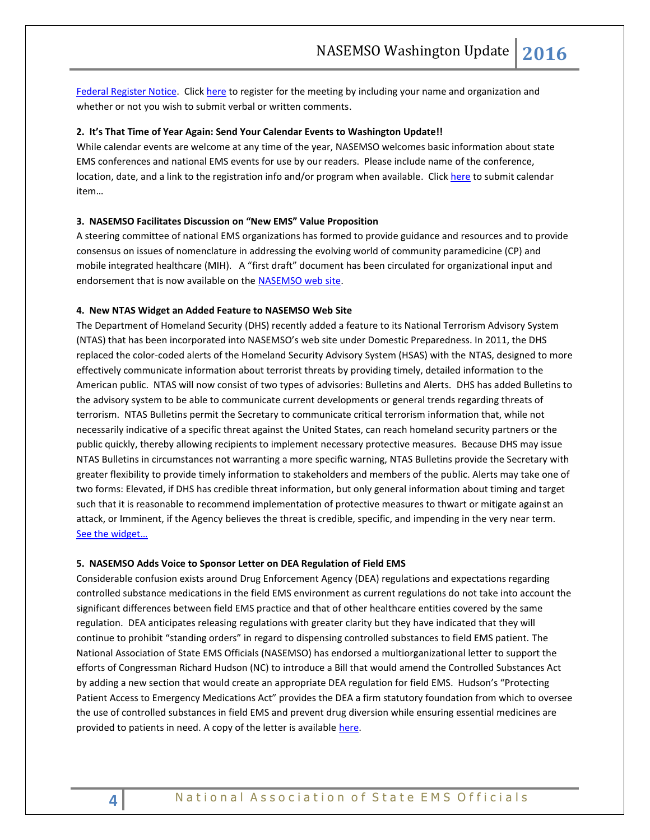[Federal Register Notice.](https://www.gpo.gov/fdsys/pkg/FR-2016-01-11/pdf/2016-296.pdf) Clic[k here](mailto:james.higgins@dot.gov?subject=Registering%20to%20attend%20February%202,%202016%20Stakeholder%20Meeting%20on%20EMS%20Fatigue) to register for the meeting by including your name and organization and whether or not you wish to submit verbal or written comments.

#### **2. It's That Time of Year Again: Send Your Calendar Events to Washington Update!!**

While calendar events are welcome at any time of the year, NASEMSO welcomes basic information about state EMS conferences and national EMS events for use by our readers. Please include name of the conference, location, date, and a link to the registration info and/or program when available. Clic[k here](mailto:robinson@nasemso.org?subject=Calendar%20Item%20for%20Washington%20Update) to submit calendar item…

#### **3. NASEMSO Facilitates Discussion on "New EMS" Value Proposition**

A steering committee of national EMS organizations has formed to provide guidance and resources and to provide consensus on issues of nomenclature in addressing the evolving world of community paramedicine (CP) and mobile integrated healthcare (MIH). A "first draft" document has been circulated for organizational input and endorsement that is now available on the [NASEMSO web site.](http://www.nasemso.org/Projects/MobileIntegratedHealth/documents/Defining-the-Role-of-EMS-in-our-Nations-Health-Care-Transformation.pdf)

#### **4. New NTAS Widget an Added Feature to NASEMSO Web Site**

The Department of Homeland Security (DHS) recently added a feature to its National Terrorism Advisory System (NTAS) that has been incorporated into NASEMSO's web site under Domestic Preparedness. In 2011, the DHS replaced the color-coded alerts of the Homeland Security Advisory System (HSAS) with the NTAS, designed to more effectively communicate information about terrorist threats by providing timely, detailed information to the American public. NTAS will now consist of two types of advisories: Bulletins and Alerts. DHS has added Bulletins to the advisory system to be able to communicate current developments or general trends regarding threats of terrorism. NTAS Bulletins permit the Secretary to communicate critical terrorism information that, while not necessarily indicative of a specific threat against the United States, can reach homeland security partners or the public quickly, thereby allowing recipients to implement necessary protective measures. Because DHS may issue NTAS Bulletins in circumstances not warranting a more specific warning, NTAS Bulletins provide the Secretary with greater flexibility to provide timely information to stakeholders and members of the public. Alerts may take one of two forms: Elevated, if DHS has credible threat information, but only general information about timing and target such that it is reasonable to recommend implementation of protective measures to thwart or mitigate against an attack, or Imminent, if the Agency believes the threat is credible, specific, and impending in the very near term. [See the widget…](https://www.nasemso.org/Projects/DomesticPreparedness/)

#### **5. NASEMSO Adds Voice to Sponsor Letter on DEA Regulation of Field EMS**

Considerable confusion exists around Drug Enforcement Agency (DEA) regulations and expectations regarding controlled substance medications in the field EMS environment as current regulations do not take into account the significant differences between field EMS practice and that of other healthcare entities covered by the same regulation. DEA anticipates releasing regulations with greater clarity but they have indicated that they will continue to prohibit "standing orders" in regard to dispensing controlled substances to field EMS patient. The National Association of State EMS Officials (NASEMSO) has endorsed a multiorganizational letter to support the efforts of Congressman Richard Hudson (NC) to introduce a Bill that would amend the Controlled Substances Act by adding a new section that would create an appropriate DEA regulation for field EMS. Hudson's "Protecting Patient Access to Emergency Medications Act" provides the DEA a firm statutory foundation from which to oversee the use of controlled substances in field EMS and prevent drug diversion while ensuring essential medicines are provided to patients in need. A copy of the letter is available [here.](http://www.nasemso.org/Advocacy/Supported/index.asp)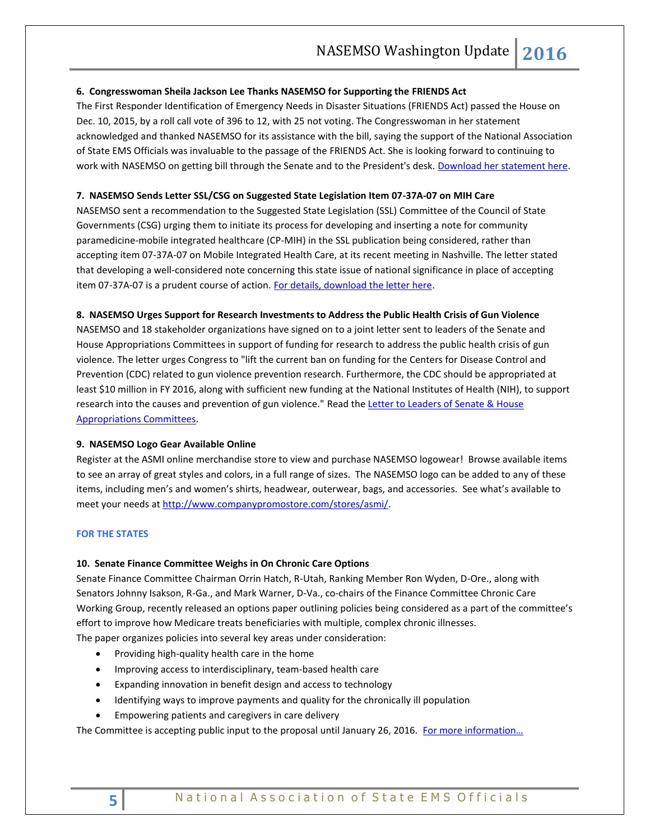### **6. Congresswoman Sheila Jackson Lee Thanks NASEMSO for Supporting the FRIENDS Act**

The First Responder Identification of Emergency Needs in Disaster Situations (FRIENDS Act) passed the House on Dec. 10, 2015, by a roll call vote of 396 to 12, with 25 not voting. The Congresswoman in her statement acknowledged and thanked NASEMSO for its assistance with the bill, saying the support of the National Association of State EMS Officials was invaluable to the passage of the FRIENDS Act. She is looking forward to continuing to work with NASEMSO on getting bill through the Senate and to the President's desk. [Download her statement here.](http://www.nasemso.org/Advocacy/Supported/documents/SJL-FloorStatement-HR2795-10Dec2015.pdf)

# **7. NASEMSO Sends Letter SSL/CSG on Suggested State Legislation Item 07-37A-07 on MIH Care**

NASEMSO sent a recommendation to the Suggested State Legislation (SSL) Committee of the Council of State Governments (CSG) urging them to initiate its process for developing and inserting a note for community paramedicine-mobile integrated healthcare (CP-MIH) in the SSL publication being considered, rather than accepting item 07-37A-07 on Mobile Integrated Health Care, at its recent meeting in Nashville. The letter stated that developing a well-considered note concerning this state issue of national significance in place of accepting item 07-37A-07 is a prudent course of action. [For details, download the letter here.](http://www.nasemso.org/Advocacy/Supported/documents/NASEMSO-Letter-to-CSGSSL-03Dec2015.pdf)

#### **8. NASEMSO Urges Support for Research Investments to Address the Public Health Crisis of Gun Violence**

NASEMSO and 18 stakeholder organizations have signed on to a joint letter sent to leaders of the Senate and House Appropriations Committees in support of funding for research to address the public health crisis of gun violence. The letter urges Congress to "lift the current ban on funding for the Centers for Disease Control and Prevention (CDC) related to gun violence prevention research. Furthermore, the CDC should be appropriated at least \$10 million in FY 2016, along with sufficient new funding at the National Institutes of Health (NIH), to support research into the causes and prevention of gun violence." Read the Letter to Leaders of Senate & House [Appropriations Committees.](http://www.nasemso.org/Advocacy/Supported/documents/Health-Groups-Gun-Violence-Prevention-Research-Appropriations-Letter-Nov2015.pdf)

#### **9. NASEMSO Logo Gear Available Online**

Register at the ASMI online merchandise store to view and purchase NASEMSO logowear! Browse available items to see an array of great styles and colors, in a full range of sizes. The NASEMSO logo can be added to any of these items, including men's and women's shirts, headwear, outerwear, bags, and accessories. See what's available to meet your needs at [http://www.companypromostore.com/stores/asmi/.](http://www.companypromostore.com/stores/asmi/)

#### <span id="page-4-0"></span>**FOR THE STATES**

# **10. Senate Finance Committee Weighs in On Chronic Care Options**

Senate Finance Committee Chairman Orrin Hatch, R-Utah, Ranking Member Ron Wyden, D-Ore., along with Senators Johnny Isakson, R-Ga., and Mark Warner, D-Va., co-chairs of the Finance Committee Chronic Care Working Group, recently released an options paper outlining policies being considered as a part of the committee's effort to improve how Medicare treats beneficiaries with multiple, complex chronic illnesses.

The paper organizes policies into several key areas under consideration:

- Providing high-quality health care in the home
- Improving access to interdisciplinary, team-based health care
- Expanding innovation in benefit design and access to technology
- Identifying ways to improve payments and quality for the chronically ill population
- Empowering patients and caregivers in care delivery

The Committee is accepting public input to the proposal until January 26, 2016. For more information...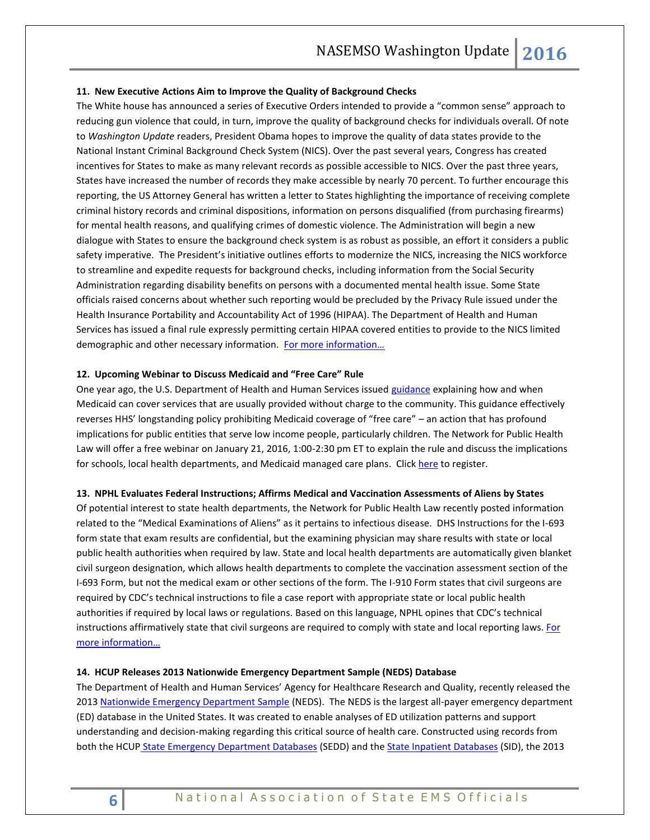#### **11. New Executive Actions Aim to Improve the Quality of Background Checks**

The White house has announced a series of Executive Orders intended to provide a "common sense" approach to reducing gun violence that could, in turn, improve the quality of background checks for individuals overall. Of note to *Washington Update* readers, President Obama hopes to improve the quality of data states provide to the National Instant Criminal Background Check System (NICS). Over the past several years, Congress has created incentives for States to make as many relevant records as possible accessible to NICS. Over the past three years, States have increased the number of records they make accessible by nearly 70 percent. To further encourage this reporting, the US Attorney General has written a letter to States highlighting the importance of receiving complete criminal history records and criminal dispositions, information on persons disqualified (from purchasing firearms) for mental health reasons, and qualifying crimes of domestic violence. The Administration will begin a new dialogue with States to ensure the background check system is as robust as possible, an effort it considers a public safety imperative. The President's initiative outlines efforts to modernize the NICS, increasing the NICS workforce to streamline and expedite requests for background checks, including information from the Social Security Administration regarding disability benefits on persons with a documented mental health issue. Some State officials raised concerns about whether such reporting would be precluded by the Privacy Rule issued under the Health Insurance Portability and Accountability Act of 1996 (HIPAA). The Department of Health and Human Services has issued a final rule expressly permitting certain HIPAA covered entities to provide to the NICS limited demographic and other necessary information. For more information...

#### **12. Upcoming Webinar to Discuss Medicaid and "Free Care" Rule**

One year ago, the U.S. Department of Health and Human Services issued [guidance](http://www.medicaid.gov/federal-policy-guidance/downloads/smd-medicaid-payment-for-services-provided-without-charge-free-care.pdf) explaining how and when Medicaid can cover services that are usually provided without charge to the community. This guidance effectively reverses HHS' longstanding policy prohibiting Medicaid coverage of "free care" – an action that has profound implications for public entities that serve low income people, particularly children. The Network for Public Health Law will offer a free webinar on January 21, 2016, 1:00-2:30 pm ET to explain the rule and discuss the implications for schools, local health departments, and Medicaid managed care plans. Click [here](https://www.networkforphl.org/webinars/2015/12/17/730/medicaid_and_the_free_care_rule/) to register.

#### **13. NPHL Evaluates Federal Instructions; Affirms Medical and Vaccination Assessments of Aliens by States**

Of potential interest to state health departments, the Network for Public Health Law recently posted information related to the "Medical Examinations of Aliens" as it pertains to infectious disease. DHS Instructions for the I-693 form state that exam results are confidential, but the examining physician may share results with state or local public health authorities when required by law. State and local health departments are automatically given blanket civil surgeon designation, which allows health departments to complete the vaccination assessment section of the I-693 Form, but not the medical exam or other sections of the form. The I-910 Form states that civil surgeons are required by CDC's technical instructions to file a case report with appropriate state or local public health authorities if required by local laws or regulations. Based on this language, NPHL opines that CDC's technical instructions affirmatively state that civil surgeons are required to comply with state and local reporting laws. For [more information…](https://www.networkforphl.org/resources_collection/2016/01/06/732/immigration_laws_and_infectious_disease_reporting/)

#### **14. HCUP Releases 2013 Nationwide Emergency Department Sample (NEDS) Database**

The Department of Health and Human Services' Agency for Healthcare Research and Quality, recently released the 201[3 Nationwide Emergency Department Sample](https://www.hcup-us.ahrq.gov/nedsoverview.jsp) (NEDS). The NEDS is the largest all-payer emergency department (ED) database in the United States. It was created to enable analyses of ED utilization patterns and support understanding and decision-making regarding this critical source of health care. Constructed using records from both the HCUP [State Emergency Department Databases](https://www.hcup-us.ahrq.gov/seddoverview.jsp) (SEDD) and the [State Inpatient Databases](https://www.hcup-us.ahrq.gov/sidoverview.jsp) (SID), the 2013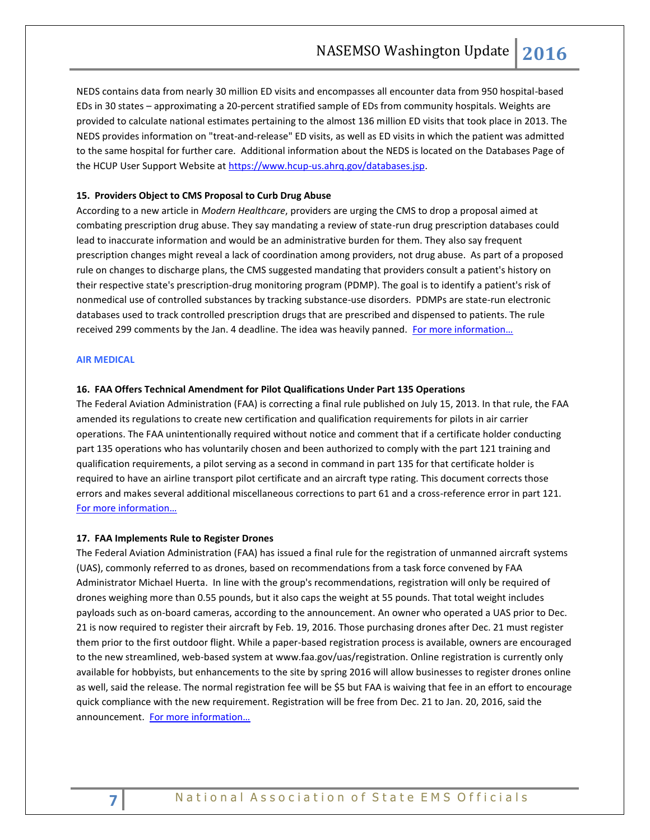NEDS contains data from nearly 30 million ED visits and encompasses all encounter data from 950 hospital-based EDs in 30 states – approximating a 20-percent stratified sample of EDs from community hospitals. Weights are provided to calculate national estimates pertaining to the almost 136 million ED visits that took place in 2013. The NEDS provides information on "treat-and-release" ED visits, as well as ED visits in which the patient was admitted to the same hospital for further care. Additional information about the NEDS is located on the Databases Page of the HCUP User Support Website at [https://www.hcup-us.ahrq.gov/databases.jsp.](https://www.hcup-us.ahrq.gov/databases.jsp)

#### <span id="page-6-0"></span>**15. Providers Object to CMS Proposal to Curb Drug Abuse**

According to a new article in *Modern Healthcare*, providers are urging the CMS to drop a proposal aimed at combating prescription drug abuse. They say mandating a review of state-run drug prescription databases could lead to inaccurate information and would be an administrative burden for them. They also say frequent prescription changes might reveal a lack of coordination among providers, not drug abuse. As part of a proposed rule on changes to discharge plans, the CMS suggested mandating that providers consult a patient's history on their respective state's prescription-drug monitoring program (PDMP). The goal is to identify a patient's risk of nonmedical use of controlled substances by tracking substance-use disorders. PDMPs are state-run electronic databases used to track controlled prescription drugs that are prescribed and dispensed to patients. The rule received 299 comments by the Jan. 4 deadline. The idea was heavily panned. [For more information…](http://www.modernhealthcare.com/article/20160111/NEWS/160119979)

#### **AIR MEDICAL**

#### **16. FAA Offers Technical Amendment for Pilot Qualifications Under Part 135 Operations**

The Federal Aviation Administration (FAA) is correcting a final rule published on July 15, 2013. In that rule, the FAA amended its regulations to create new certification and qualification requirements for pilots in air carrier operations. The FAA unintentionally required without notice and comment that if a certificate holder conducting part 135 operations who has voluntarily chosen and been authorized to comply with the part 121 training and qualification requirements, a pilot serving as a second in command in part 135 for that certificate holder is required to have an airline transport pilot certificate and an aircraft type rating. This document corrects those errors and makes several additional miscellaneous corrections to part 61 and a cross-reference error in part 121. [For more information…](https://www.gpo.gov/fdsys/pkg/FR-2016-01-04/pdf/2015-32998.pdf)

#### **17. FAA Implements Rule to Register Drones**

The Federal Aviation Administration (FAA) has issued a final rule for the registration of unmanned aircraft systems (UAS), commonly referred to as drones, based on recommendations from a task force convened by FAA Administrator Michael Huerta. In line with the group's recommendations, registration will only be required of drones weighing more than 0.55 pounds, but it also caps the weight at 55 pounds. That total weight includes payloads such as on-board cameras, according to the announcement. An owner who operated a UAS prior to Dec. 21 is now required to register their aircraft by Feb. 19, 2016. Those purchasing drones after Dec. 21 must register them prior to the first outdoor flight. While a paper-based registration process is available, owners are encouraged to the new streamlined, web-based system at www.faa.gov/uas/registration. Online registration is currently only available for hobbyists, but enhancements to the site by spring 2016 will allow businesses to register drones online as well, said the release. The normal registration fee will be \$5 but FAA is waiving that fee in an effort to encourage quick compliance with the new requirement. Registration will be free from Dec. 21 to Jan. 20, 2016, said the announcement. [For more information…](http://www.faa.gov/news/press_releases/news_story.cfm?newsId=19856)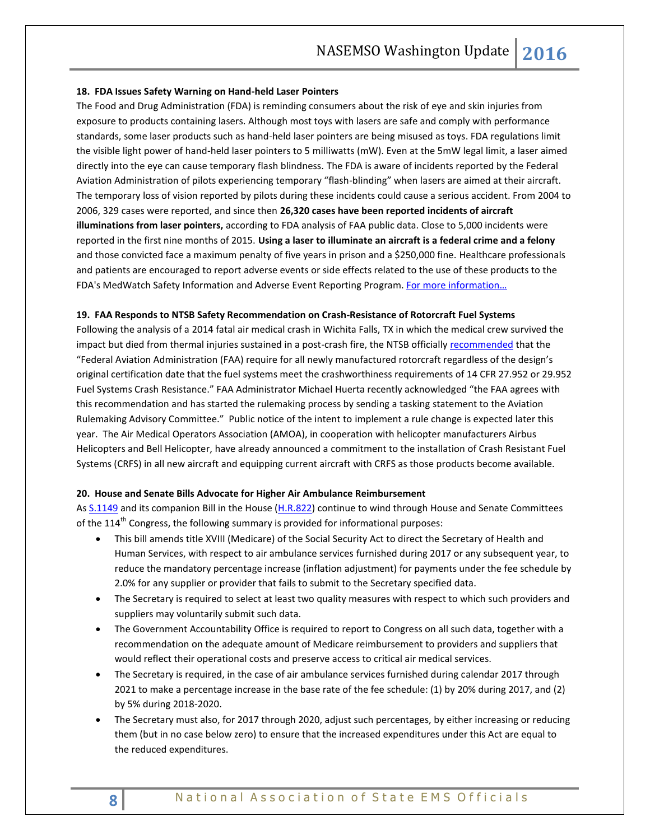### **18. FDA Issues Safety Warning on Hand-held Laser Pointers**

The Food and Drug Administration (FDA) is reminding consumers about the risk of eye and skin injuries from exposure to products containing lasers. Although most toys with lasers are safe and comply with performance standards, some laser products such as hand-held laser pointers are being misused as toys. FDA regulations limit the visible light power of hand-held laser pointers to 5 milliwatts (mW). Even at the 5mW legal limit, a laser aimed directly into the eye can cause temporary flash blindness. The FDA is aware of incidents reported by the Federal Aviation Administration of pilots experiencing temporary "flash-blinding" when lasers are aimed at their aircraft. The temporary loss of vision reported by pilots during these incidents could cause a serious accident. From 2004 to 2006, 329 cases were reported, and since then **26,320 cases have been reported incidents of aircraft illuminations from laser pointers,** according to FDA analysis of FAA public data. Close to 5,000 incidents were reported in the first nine months of 2015. **Using a laser to illuminate an aircraft is a federal crime and a felony**  and those convicted face a maximum penalty of five years in prison and a \$250,000 fine. Healthcare professionals and patients are encouraged to report adverse events or side effects related to the use of these products to the FDA's MedWatch Safety Information and Adverse Event Reporting Program. For more information...

#### **19. FAA Responds to NTSB Safety Recommendation on Crash-Resistance of Rotorcraft Fuel Systems**

Following the analysis of a 2014 fatal air medical crash in Wichita Falls, TX in which the medical crew survived the impact but died from thermal injuries sustained in a post-crash fire, the NTSB officially [recommended](http://www.ntsb.gov/safety/safety-recs/recletters/A-15-012.pdf) that the "Federal Aviation Administration (FAA) require for all newly manufactured rotorcraft regardless of the design's original certification date that the fuel systems meet the crashworthiness requirements of 14 CFR 27.952 or 29.952 Fuel Systems Crash Resistance." FAA Administrator Michael Huerta recently acknowledged "the FAA agrees with this recommendation and has started the rulemaking process by sending a tasking statement to the Aviation Rulemaking Advisory Committee." Public notice of the intent to implement a rule change is expected later this year. The Air Medical Operators Association (AMOA), in cooperation with helicopter manufacturers Airbus Helicopters and Bell Helicopter, have already announced a commitment to the installation of Crash Resistant Fuel Systems (CRFS) in all new aircraft and equipping current aircraft with CRFS as those products become available.

#### **20. House and Senate Bills Advocate for Higher Air Ambulance Reimbursement**

<span id="page-7-0"></span>As [S.1149](https://www.congress.gov/bill/114th-congress/senate-bill/1149/text) and its companion Bill in the House [\(H.R.822\)](https://www.congress.gov/bill/114th-congress/house-bill/822/text) continue to wind through House and Senate Committees of the  $114<sup>th</sup>$  Congress, the following summary is provided for informational purposes:

- This bill amends title XVIII (Medicare) of the Social Security Act to direct the Secretary of Health and Human Services, with respect to air ambulance services furnished during 2017 or any subsequent year, to reduce the mandatory percentage increase (inflation adjustment) for payments under the fee schedule by 2.0% for any supplier or provider that fails to submit to the Secretary specified data.
- The Secretary is required to select at least two quality measures with respect to which such providers and suppliers may voluntarily submit such data.
- The Government Accountability Office is required to report to Congress on all such data, together with a recommendation on the adequate amount of Medicare reimbursement to providers and suppliers that would reflect their operational costs and preserve access to critical air medical services.
- The Secretary is required, in the case of air ambulance services furnished during calendar 2017 through 2021 to make a percentage increase in the base rate of the fee schedule: (1) by 20% during 2017, and (2) by 5% during 2018-2020.
- The Secretary must also, for 2017 through 2020, adjust such percentages, by either increasing or reducing them (but in no case below zero) to ensure that the increased expenditures under this Act are equal to the reduced expenditures.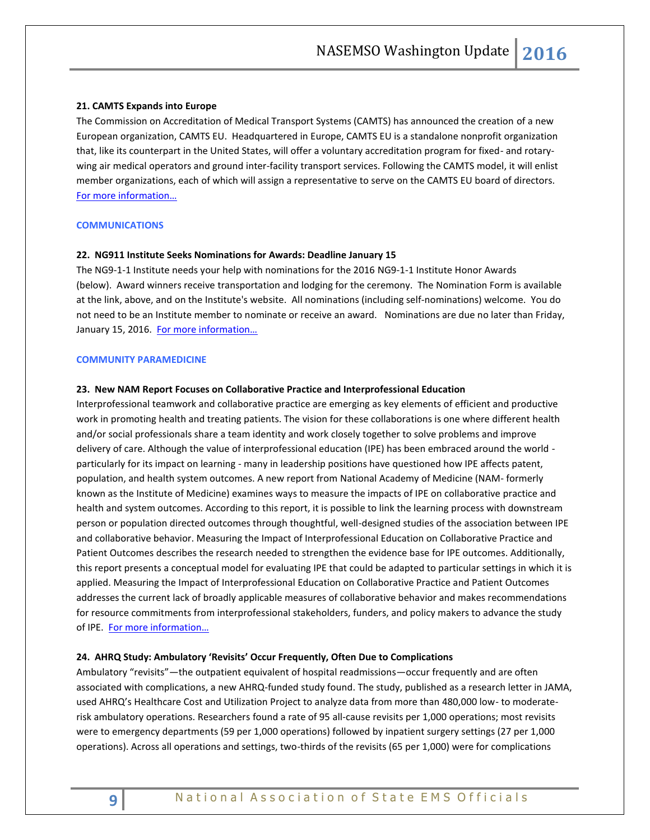#### **21. CAMTS Expands into Europe**

The Commission on Accreditation of Medical Transport Systems (CAMTS) has announced the creation of a new European organization, CAMTS EU. Headquartered in Europe, CAMTS EU is a standalone nonprofit organization that, like its counterpart in the United States, will offer a voluntary accreditation program for fixed- and rotarywing air medical operators and ground inter-facility transport services. Following the CAMTS model, it will enlist member organizations, each of which will assign a representative to serve on the CAMTS EU board of directors. [For more information…](http://www.verticalmag.com/news/article/CAMTSexpandsintoEuropewithCAMTSEU)

#### **COMMUNICATIONS**

#### **22. NG911 Institute Seeks Nominations for Awards: Deadline January 15**

The NG9-1-1 Institute needs your help with nominations for the 2016 NG9-1-1 Institute Honor Awards (below). Award winners receive transportation and lodging for the ceremony. The Nomination Form is available at the link, above, and on the Institute's website. All nominations (including self-nominations) welcome. You do not need to be an Institute member to nominate or receive an award. Nominations are due no later than Friday, January 15, 2016. [For more information…](http://www.ng911institute.org/)

#### <span id="page-8-0"></span>**COMMUNITY PARAMEDICINE**

#### **23. New NAM Report Focuses on Collaborative Practice and Interprofessional Education**

Interprofessional teamwork and collaborative practice are emerging as key elements of efficient and productive work in promoting health and treating patients. The vision for these collaborations is one where different health and/or social professionals share a team identity and work closely together to solve problems and improve delivery of care. Although the value of interprofessional education (IPE) has been embraced around the world particularly for its impact on learning - many in leadership positions have questioned how IPE affects patent, population, and health system outcomes. A new report from National Academy of Medicine (NAM- formerly known as the Institute of Medicine) examines ways to measure the impacts of IPE on collaborative practice and health and system outcomes. According to this report, it is possible to link the learning process with downstream person or population directed outcomes through thoughtful, well-designed studies of the association between IPE and collaborative behavior. Measuring the Impact of Interprofessional Education on Collaborative Practice and Patient Outcomes describes the research needed to strengthen the evidence base for IPE outcomes. Additionally, this report presents a conceptual model for evaluating IPE that could be adapted to particular settings in which it is applied. Measuring the Impact of Interprofessional Education on Collaborative Practice and Patient Outcomes addresses the current lack of broadly applicable measures of collaborative behavior and makes recommendations for resource commitments from interprofessional stakeholders, funders, and policy makers to advance the study of IPE. [For more information…](http://www.nap.edu/catalog/21726/measuring-the-impact-of-interprofessional-education-on-collaborative-practice-and-patient-outcomes)

#### **24. AHRQ Study: Ambulatory 'Revisits' Occur Frequently, Often Due to Complications**

Ambulatory "revisits"—the outpatient equivalent of hospital readmissions—occur frequently and are often associated with complications, a new AHRQ-funded study found. The study, published as a research letter in JAMA, used AHRQ's Healthcare Cost and Utilization Project to analyze data from more than 480,000 low- to moderaterisk ambulatory operations. Researchers found a rate of 95 all-cause revisits per 1,000 operations; most revisits were to emergency departments (59 per 1,000 operations) followed by inpatient surgery settings (27 per 1,000 operations). Across all operations and settings, two-thirds of the revisits (65 per 1,000) were for complications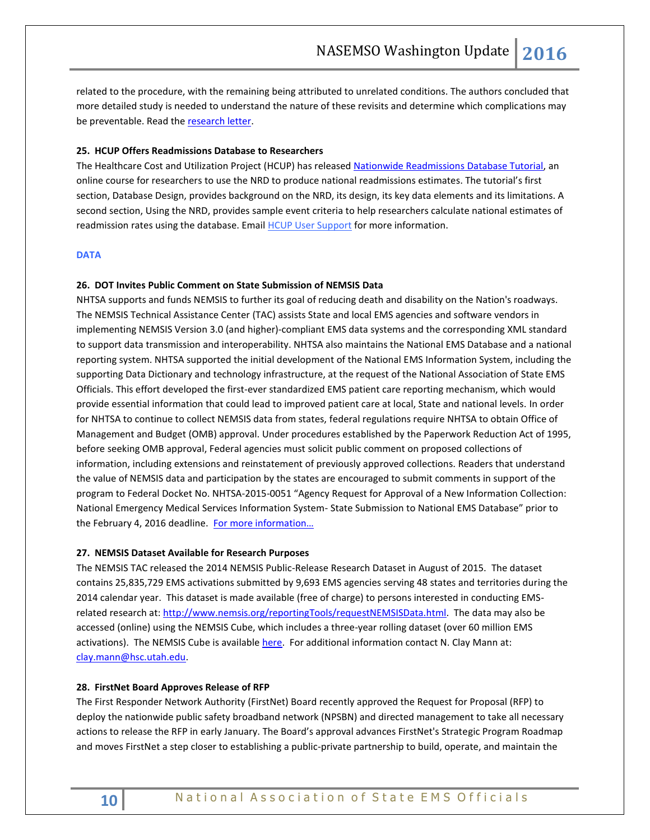related to the procedure, with the remaining being attributed to unrelated conditions. The authors concluded that more detailed study is needed to understand the nature of these revisits and determine which complications may be preventable. Read the [research letter.](http://jama.jamanetwork.com/article.aspx?articleid=2449176)

### <span id="page-9-0"></span>**25. HCUP Offers Readmissions Database to Researchers**

The Healthcare Cost and Utilization Project (HCUP) has released [Nationwide Readmissions Database Tutorial,](https://www.hcup-us.ahrq.gov/tech_assist/nrd/index.html) an online course for researchers to use the NRD to produce national readmissions estimates. The tutorial's first section, Database Design, provides background on the NRD, its design, its key data elements and its limitations. A second section, Using the NRD, provides sample event criteria to help researchers calculate national estimates of readmission rates using the database. Email [HCUP User Support](mailto:hcup@ahrq.gov?subject=Question%20from%20Winter%202015%20eNews) for more information.

#### **DATA**

#### **26. DOT Invites Public Comment on State Submission of NEMSIS Data**

NHTSA supports and funds NEMSIS to further its goal of reducing death and disability on the Nation's roadways. The NEMSIS Technical Assistance Center (TAC) assists State and local EMS agencies and software vendors in implementing NEMSIS Version 3.0 (and higher)-compliant EMS data systems and the corresponding XML standard to support data transmission and interoperability. NHTSA also maintains the National EMS Database and a national reporting system. NHTSA supported the initial development of the National EMS Information System, including the supporting Data Dictionary and technology infrastructure, at the request of the National Association of State EMS Officials. This effort developed the first-ever standardized EMS patient care reporting mechanism, which would provide essential information that could lead to improved patient care at local, State and national levels. In order for NHTSA to continue to collect NEMSIS data from states, federal regulations require NHTSA to obtain Office of Management and Budget (OMB) approval. Under procedures established by the Paperwork Reduction Act of 1995, before seeking OMB approval, Federal agencies must solicit public comment on proposed collections of information, including extensions and reinstatement of previously approved collections. Readers that understand the value of NEMSIS data and participation by the states are encouraged to submit comments in support of the program to Federal Docket No. NHTSA-2015-0051 "Agency Request for Approval of a New Information Collection: National Emergency Medical Services Information System- State Submission to National EMS Database" prior to the February 4, 2016 deadline. For more information...

#### **27. NEMSIS Dataset Available for Research Purposes**

The NEMSIS TAC released the 2014 NEMSIS Public-Release Research Dataset in August of 2015. The dataset contains 25,835,729 EMS activations submitted by 9,693 EMS agencies serving 48 states and territories during the 2014 calendar year. This dataset is made available (free of charge) to persons interested in conducting EMSrelated research at: [http://www.nemsis.org/reportingTools/requestNEMSISData.html.](http://www.nemsis.org/reportingTools/requestNEMSISData.html) The data may also be accessed (online) using the NEMSIS Cube, which includes a three-year rolling dataset (over 60 million EMS activations). The NEMSIS Cube is available [here.](http://www.nemsis.org/reportingTools/reports/nationalReports/createAReport.html) For additional information contact N. Clay Mann at: [clay.mann@hsc.utah.edu.](mailto:clay.mann@hsc.utah.edu)

#### **28. FirstNet Board Approves Release of RFP**

The First Responder Network Authority (FirstNet) Board recently approved the Request for Proposal (RFP) to deploy the nationwide public safety broadband network (NPSBN) and directed management to take all necessary actions to release the RFP in early January. The Board's approval advances FirstNet's Strategic Program Roadmap and moves FirstNet a step closer to establishing a public-private partnership to build, operate, and maintain the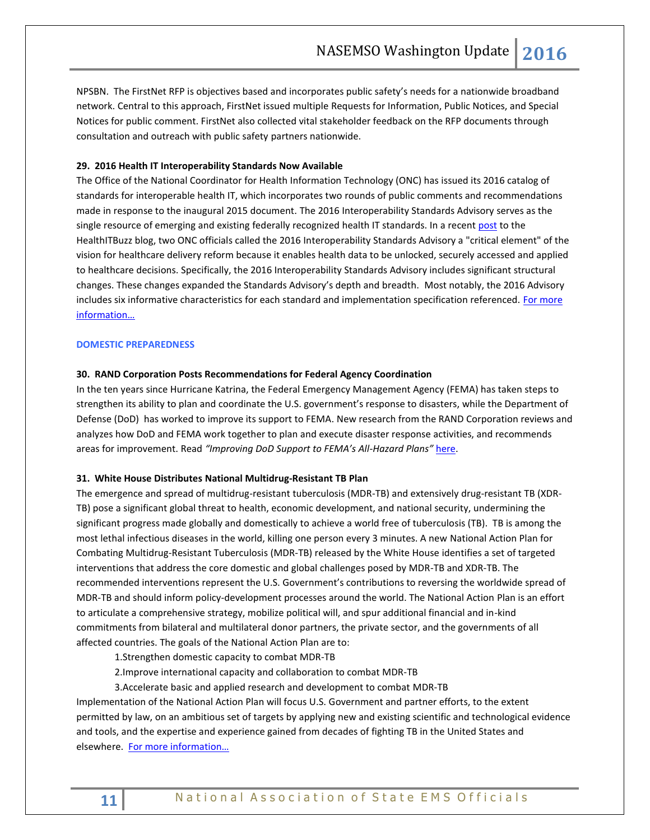NPSBN. The FirstNet RFP is objectives based and incorporates public safety's needs for a nationwide broadband network. Central to this approach, FirstNet issued multiple Requests for Information, Public Notices, and Special Notices for public comment. FirstNet also collected vital stakeholder feedback on the RFP documents through consultation and outreach with public safety partners nationwide.

#### **29. 2016 Health IT Interoperability Standards Now Available**

The Office of the National Coordinator for Health Information Technology (ONC) has issued its 2016 catalog of standards for interoperable health IT, which incorporates two rounds of public comments and recommendations made in response to the inaugural 2015 document. The 2016 Interoperability Standards Advisory serves as the single resource of emerging and existing federally recognized health IT standards. In a recent [post](http://www.healthit.gov/buzz-blog/electronic-health-and-medical-records/interoperability-electronic-health-and-medical-records/the-2016-interoperability-standards-advisory-is-here) to the HealthITBuzz blog, two ONC officials called the 2016 Interoperability Standards Advisory a "critical element" of the vision for healthcare delivery reform because it enables health data to be unlocked, securely accessed and applied to healthcare decisions. Specifically, the 2016 Interoperability Standards Advisory includes significant structural changes. These changes expanded the Standards Advisory's depth and breadth. Most notably, the 2016 Advisory includes six informative characteristics for each standard and implementation specification referenced. For more [information…](https://www.healthit.gov/sites/default/files/2016-interoperability-standards-advisory-final-508.pdf)

#### <span id="page-10-0"></span>**DOMESTIC PREPAREDNESS**

#### **30. RAND Corporation Posts Recommendations for Federal Agency Coordination**

In the ten years since Hurricane Katrina, the Federal Emergency Management Agency (FEMA) has taken steps to strengthen its ability to plan and coordinate the U.S. government's response to disasters, while the Department of Defense (DoD) has worked to improve its support to FEMA. New research from the RAND Corporation reviews and analyzes how DoD and FEMA work together to plan and execute disaster response activities, and recommends areas for improvement. Read *"Improving DoD Support to FEMA's All-Hazard Plans"* [here.](http://www.rand.org/content/dam/rand/pubs/research_reports/RR1300/RR1301/RAND_RR1301.pdf)

#### **31. White House Distributes National Multidrug-Resistant TB Plan**

The emergence and spread of multidrug-resistant tuberculosis (MDR-TB) and extensively drug-resistant TB (XDR-TB) pose a significant global threat to health, economic development, and national security, undermining the significant progress made globally and domestically to achieve a world free of tuberculosis (TB). TB is among the most lethal infectious diseases in the world, killing one person every 3 minutes. A new National Action Plan for Combating Multidrug-Resistant Tuberculosis (MDR-TB) released by the White House identifies a set of targeted interventions that address the core domestic and global challenges posed by MDR-TB and XDR-TB. The recommended interventions represent the U.S. Government's contributions to reversing the worldwide spread of MDR-TB and should inform policy-development processes around the world. The National Action Plan is an effort to articulate a comprehensive strategy, mobilize political will, and spur additional financial and in-kind commitments from bilateral and multilateral donor partners, the private sector, and the governments of all affected countries. The goals of the National Action Plan are to:

1.Strengthen domestic capacity to combat MDR-TB

2.Improve international capacity and collaboration to combat MDR-TB

3.Accelerate basic and applied research and development to combat MDR-TB

Implementation of the National Action Plan will focus U.S. Government and partner efforts, to the extent permitted by law, on an ambitious set of targets by applying new and existing scientific and technological evidence and tools, and the expertise and experience gained from decades of fighting TB in the United States and elsewhere. [For more information…](https://www.whitehouse.gov/sites/default/files/microsites/ostp/national_action_plan_for_tuberculosis_20151204_final.pdf)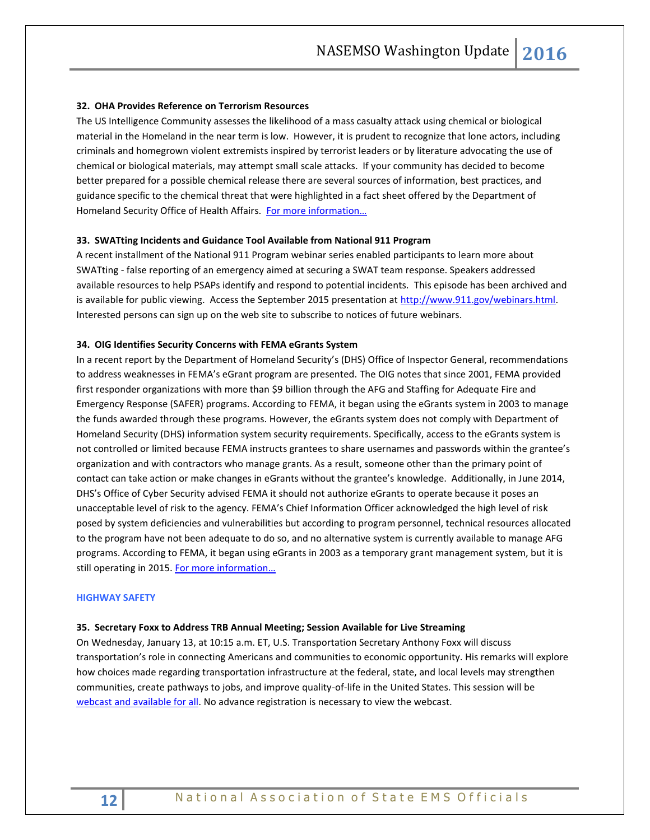#### <span id="page-11-0"></span>**32. OHA Provides Reference on Terrorism Resources**

The US Intelligence Community assesses the likelihood of a mass casualty attack using chemical or biological material in the Homeland in the near term is low. However, it is prudent to recognize that lone actors, including criminals and homegrown violent extremists inspired by terrorist leaders or by literature advocating the use of chemical or biological materials, may attempt small scale attacks. If your community has decided to become better prepared for a possible chemical release there are several sources of information, best practices, and guidance specific to the chemical threat that were highlighted in a fact sheet offered by the Department of Homeland Security Office of Health Affairs. For more information...

#### **33. SWATting Incidents and Guidance Tool Available from National 911 Program**

A recent installment of the National 911 Program webinar series enabled participants to learn more about SWATting - false reporting of an emergency aimed at securing a SWAT team response. Speakers addressed available resources to help PSAPs identify and respond to potential incidents. This episode has been archived and is available for public viewing. Access the September 2015 presentation at [http://www.911.gov/webinars.html.](http://www.911.gov/webinars.html) Interested persons can sign up on the web site to subscribe to notices of future webinars.

#### **34. OIG Identifies Security Concerns with FEMA eGrants System**

In a recent report by the Department of Homeland Security's (DHS) Office of Inspector General, recommendations to address weaknesses in FEMA's eGrant program are presented. The OIG notes that since 2001, FEMA provided first responder organizations with more than \$9 billion through the AFG and Staffing for Adequate Fire and Emergency Response (SAFER) programs. According to FEMA, it began using the eGrants system in 2003 to manage the funds awarded through these programs. However, the eGrants system does not comply with Department of Homeland Security (DHS) information system security requirements. Specifically, access to the eGrants system is not controlled or limited because FEMA instructs grantees to share usernames and passwords within the grantee's organization and with contractors who manage grants. As a result, someone other than the primary point of contact can take action or make changes in eGrants without the grantee's knowledge. Additionally, in June 2014, DHS's Office of Cyber Security advised FEMA it should not authorize eGrants to operate because it poses an unacceptable level of risk to the agency. FEMA's Chief Information Officer acknowledged the high level of risk posed by system deficiencies and vulnerabilities but according to program personnel, technical resources allocated to the program have not been adequate to do so, and no alternative system is currently available to manage AFG programs. According to FEMA, it began using eGrants in 2003 as a temporary grant management system, but it is still operating in 2015. For more information...

#### **HIGHWAY SAFETY**

#### **35. Secretary Foxx to Address TRB Annual Meeting; Session Available for Live Streaming**

On Wednesday, January 13, at 10:15 a.m. ET, U.S. Transportation Secretary Anthony Foxx will discuss transportation's role in connecting Americans and communities to economic opportunity. His remarks will explore how choices made regarding transportation infrastructure at the federal, state, and local levels may strengthen communities, create pathways to jobs, and improve quality-of-life in the United States. This session will be [webcast and available for all.](http://www.trb.org/main/blurbs/173752.aspx) No advance registration is necessary to view the webcast.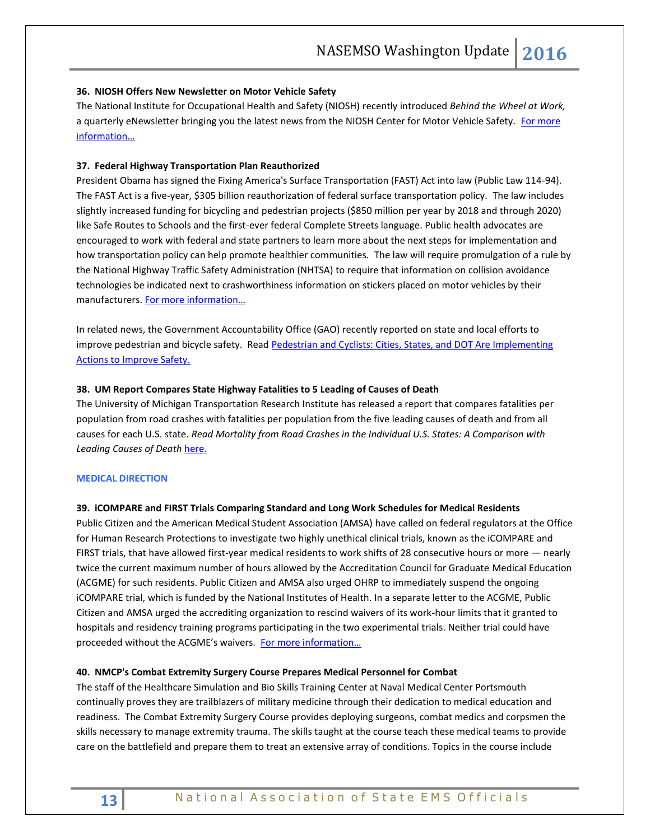#### **36. NIOSH Offers New Newsletter on Motor Vehicle Safety**

<span id="page-12-0"></span>The National Institute for Occupational Health and Safety (NIOSH) recently introduced *Behind the Wheel at Work,* a quarterly eNewsletter bringing you the latest news from the NIOSH Center for Motor Vehicle Safety. For more [information…](http://www.cdc.gov/niosh/topics/ncmvs/newsletter/default.html)

#### **37. Federal Highway Transportation Plan Reauthorized**

President Obama has signed the Fixing America's Surface Transportation (FAST) Act into law (Public Law 114-94). The FAST Act is a five-year, \$305 billion reauthorization of federal surface transportation policy. The law includes slightly increased funding for bicycling and pedestrian projects (\$850 million per year by 2018 and through 2020) like Safe Routes to Schools and the first-ever federal Complete Streets language. Public health advocates are encouraged to work with federal and state partners to learn more about the next steps for implementation and how transportation policy can help promote healthier communities. The law will require promulgation of a rule by the National Highway Traffic Safety Administration (NHTSA) to require that information on collision avoidance technologies be indicated next to crashworthiness information on stickers placed on motor vehicles by their manufacturers. For more information...

In related news, the Government Accountability Office (GAO) recently reported on state and local efforts to improve pedestrian and bicycle safety. Read Pedestrian and Cyclists: Cities, States, and DOT Are Implementing [Actions to Improve Safety.](http://www.gao.gov/products/GAO-16-66)

#### **38. UM Report Compares State Highway Fatalities to 5 Leading of Causes of Death**

The University of Michigan Transportation Research Institute has released a report that compares fatalities per population from road crashes with fatalities per population from the five leading causes of death and from all causes for each U.S. state. *Read Mortality from Road Crashes in the Individual U.S. States: A Comparison with Leading Causes of Death* [here.](http://deepblue.lib.umich.edu/bitstream/handle/2027.42/116091/103220.pdf?sequence=1&isAllowed=y)

#### **MEDICAL DIRECTION**

#### **39. iCOMPARE and FIRST Trials Comparing Standard and Long Work Schedules for Medical Residents**

Public Citizen and the American Medical Student Association (AMSA) have called on federal regulators at the Office for Human Research Protections to investigate two highly unethical clinical trials, known as the iCOMPARE and FIRST trials, that have allowed first-year medical residents to work shifts of 28 consecutive hours or more — nearly twice the current maximum number of hours allowed by the Accreditation Council for Graduate Medical Education (ACGME) for such residents. Public Citizen and AMSA also urged OHRP to immediately suspend the ongoing iCOMPARE trial, which is funded by the National Institutes of Health. In a separate letter to the ACGME, Public Citizen and AMSA urged the accrediting organization to rescind waivers of its work-hour limits that it granted to hospitals and residency training programs participating in the two experimental trials. Neither trial could have proceeded without the ACGME's waivers. [For more information…](https://www.citizen.org/icompare)

#### **40. NMCP's Combat Extremity Surgery Course Prepares Medical Personnel for Combat**

The staff of the Healthcare Simulation and Bio Skills Training Center at Naval Medical Center Portsmouth continually proves they are trailblazers of military medicine through their dedication to medical education and readiness. The Combat Extremity Surgery Course provides deploying surgeons, combat medics and corpsmen the skills necessary to manage extremity trauma. The skills taught at the course teach these medical teams to provide care on the battlefield and prepare them to treat an extensive array of conditions. Topics in the course include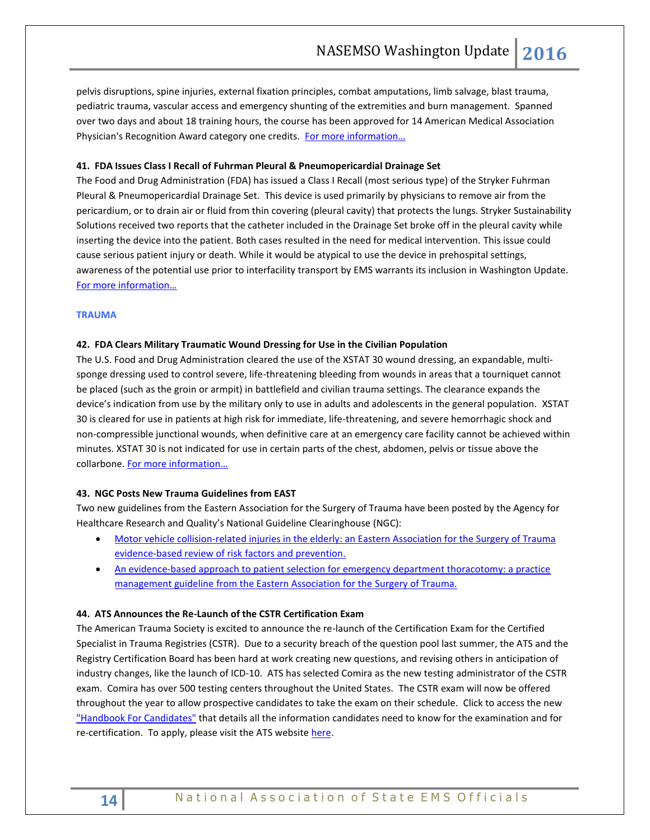pelvis disruptions, spine injuries, external fixation principles, combat amputations, limb salvage, blast trauma, pediatric trauma, vascular access and emergency shunting of the extremities and burn management. Spanned over two days and about 18 training hours, the course has been approved for 14 American Medical Association Physician's Recognition Award category one credits. For more information...

#### **41. FDA Issues Class I Recall of Fuhrman Pleural & Pneumopericardial Drainage Set**

The Food and Drug Administration (FDA) has issued a Class I Recall (most serious type) of the Stryker Fuhrman Pleural & Pneumopericardial Drainage Set. This device is used primarily by physicians to remove air from the pericardium, or to drain air or fluid from thin covering (pleural cavity) that protects the lungs. Stryker Sustainability Solutions received two reports that the catheter included in the Drainage Set broke off in the pleural cavity while inserting the device into the patient. Both cases resulted in the need for medical intervention. This issue could cause serious patient injury or death. While it would be atypical to use the device in prehospital settings, awareness of the potential use prior to interfacility transport by EMS warrants its inclusion in Washington Update. [For more information…](http://www.fda.gov/MedicalDevices/Safety/ListofRecalls/ucm481231.htm) 

#### <span id="page-13-0"></span>**TRAUMA**

#### **42. FDA Clears Military Traumatic Wound Dressing for Use in the Civilian Population**

The U.S. Food and Drug Administration cleared the use of the XSTAT 30 wound dressing, an expandable, multisponge dressing used to control severe, life-threatening bleeding from wounds in areas that a tourniquet cannot be placed (such as the groin or armpit) in battlefield and civilian trauma settings. The clearance expands the device's indication from use by the military only to use in adults and adolescents in the general population. XSTAT 30 is cleared for use in patients at high risk for immediate, life-threatening, and severe hemorrhagic shock and non-compressible junctional wounds, when definitive care at an emergency care facility cannot be achieved within minutes. XSTAT 30 is not indicated for use in certain parts of the chest, abdomen, pelvis or tissue above the collarbone. For more information...

#### **43. NGC Posts New Trauma Guidelines from EAST**

Two new guidelines from the Eastern Association for the Surgery of Trauma have been posted by the Agency for Healthcare Research and Quality's National Guideline Clearinghouse (NGC):

- **Motor vehicle collision-related injuries in the elderly: an Eastern Association for the Surgery of Trauma** [evidence-based review of risk factors and prevention.](http://www.guideline.gov/content.aspx?f=rss&id=49615&osrc=12)
- [An evidence-based approach to patient selection for emergency department thoracotomy: a practice](http://www.guideline.gov/content.aspx?f=rss&id=49589&osrc=12)  [management guideline from the Eastern Association for the Surgery of Trauma.](http://www.guideline.gov/content.aspx?f=rss&id=49589&osrc=12)

#### **44. ATS Announces the Re-Launch of the CSTR Certification Exam**

The American Trauma Society is excited to announce the re-launch of the Certification Exam for the Certified Specialist in Trauma Registries (CSTR). Due to a security breach of the question pool last summer, the ATS and the Registry Certification Board has been hard at work creating new questions, and revising others in anticipation of industry changes, like the launch of ICD-10. ATS has selected Comira as the new testing administrator of the CSTR exam. Comira has over 500 testing centers throughout the United States. The CSTR exam will now be offered throughout the year to allow prospective candidates to take the exam on their schedule. Click to access the new ["Handbook For Candidates"](http://c.ymcdn.com/sites/www.amtrauma.org/resource/resmgr/CSTR/CSTR_Handbook_2015.pdf) that details all the information candidates need to know for the examination and for re-certification. To apply, please visit the ATS websit[e here.](http://c.ymcdn.com/sites/www.amtrauma.org/resource/resmgr/CSTR/CSTR_Handbook_2015.pdf)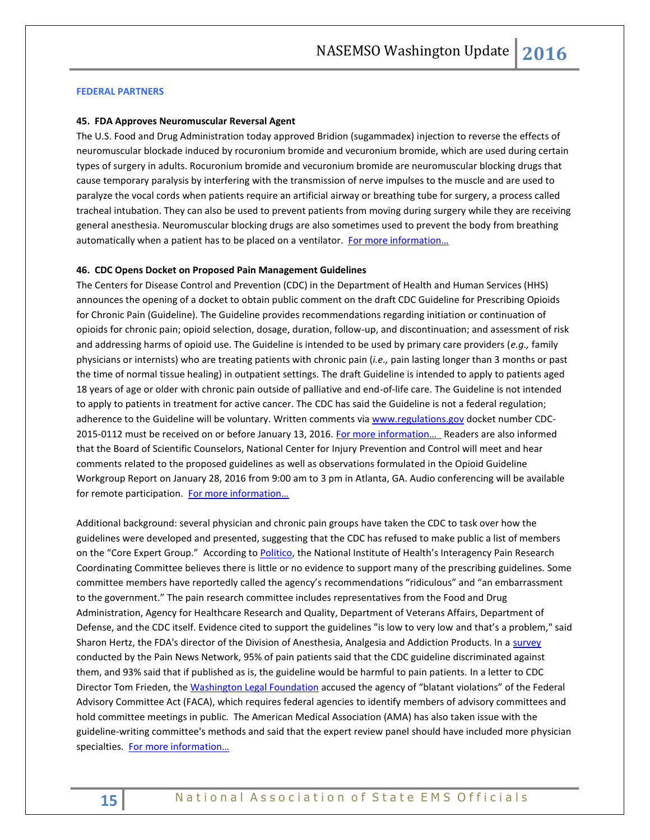#### <span id="page-14-0"></span>**FEDERAL PARTNERS**

#### **45. FDA Approves Neuromuscular Reversal Agent**

The U.S. Food and Drug Administration today approved Bridion (sugammadex) injection to reverse the effects of neuromuscular blockade induced by rocuronium bromide and vecuronium bromide, which are used during certain types of surgery in adults. Rocuronium bromide and vecuronium bromide are neuromuscular blocking drugs that cause temporary paralysis by interfering with the transmission of nerve impulses to the muscle and are used to paralyze the vocal cords when patients require an artificial airway or breathing tube for surgery, a process called [tracheal intubation.](https://www.nlm.nih.gov/medlineplus/ency/article/003449.htm) They can also be used to prevent patients from moving during surgery while they are receiving [general anesthesia.](https://www.nlm.nih.gov/medlineplus/ency/article/007410.htm) Neuromuscular blocking drugs are also sometimes used to prevent the body from breathing automatically when a patient has to be placed on [a ventilator.](http://www.nhlbi.nih.gov/health/health-topics/topics/vent/howdoes) [For more information…](http://www.fda.gov/NewsEvents/Newsroom/PressAnnouncements/ucm477512)

#### **46. CDC Opens Docket on Proposed Pain Management Guidelines**

The Centers for Disease Control and Prevention (CDC) in the Department of Health and Human Services (HHS) announces the opening of a docket to obtain public comment on the draft CDC Guideline for Prescribing Opioids for Chronic Pain (Guideline). The Guideline provides recommendations regarding initiation or continuation of opioids for chronic pain; opioid selection, dosage, duration, follow-up, and discontinuation; and assessment of risk and addressing harms of opioid use. The Guideline is intended to be used by primary care providers (*e.g.,* family physicians or internists) who are treating patients with chronic pain (*i.e.,* pain lasting longer than 3 months or past the time of normal tissue healing) in outpatient settings. The draft Guideline is intended to apply to patients aged 18 years of age or older with chronic pain outside of palliative and end-of-life care. The Guideline is not intended to apply to patients in treatment for active cancer. The CDC has said the Guideline is not a federal regulation; adherence to the Guideline will be voluntary. Written comments vi[a www.regulations.gov](http://www.regulations.gov/) docket number CDC-2015-0112 must be received on or before January 13, 2016. For more information... Readers are also informed that the Board of Scientific Counselors, National Center for Injury Prevention and Control will meet and hear comments related to the proposed guidelines as well as observations formulated in the Opioid Guideline Workgroup Report on January 28, 2016 from 9:00 am to 3 pm in Atlanta, GA. Audio conferencing will be available for remote participation. For more information...

Additional background: several physician and chronic pain groups have taken the CDC to task over how the guidelines were developed and presented, suggesting that the CDC has refused to make public a list of members on the "Core Expert Group." According to [Politico,](http://www.politico.com/tipsheets/politico-pulse/2015/12/pulse-211595) the National Institute of Health's Interagency Pain Research Coordinating Committee believes there is little or no evidence to support many of the prescribing guidelines. Some committee members have reportedly called the agency's recommendations "ridiculous" and "an embarrassment to the government." The pain research committee includes representatives from the Food and Drug Administration, Agency for Healthcare Research and Quality, Department of Veterans Affairs, Department of Defense, and the CDC itself. Evidence cited to support the guidelines "is low to very low and that's a problem," said Sharon Hertz, the FDA's director of the Division of Anesthesia, Analgesia and Addiction Products. In a [survey](http://www.painnewsnetwork.org/cdc-survey-results/) conducted by the Pain News Network, 95% of pain patients said that the CDC guideline discriminated against them, and 93% said that if published as is, the guideline would be harmful to pain patients. In a letter to CDC Director Tom Frieden, the [Washington Legal Foundation](http://www.wlf.org/upload/litigation/misc/CDCComments-Opioids.pdf) accused the agency of "blatant violations" of the Federal Advisory Committee Act (FACA), which requires federal agencies to identify members of advisory committees and hold committee meetings in public. The American Medical Association (AMA) has also taken issue with the guideline-writing committee's methods and said that the expert review panel should have included more physician specialties. For more information...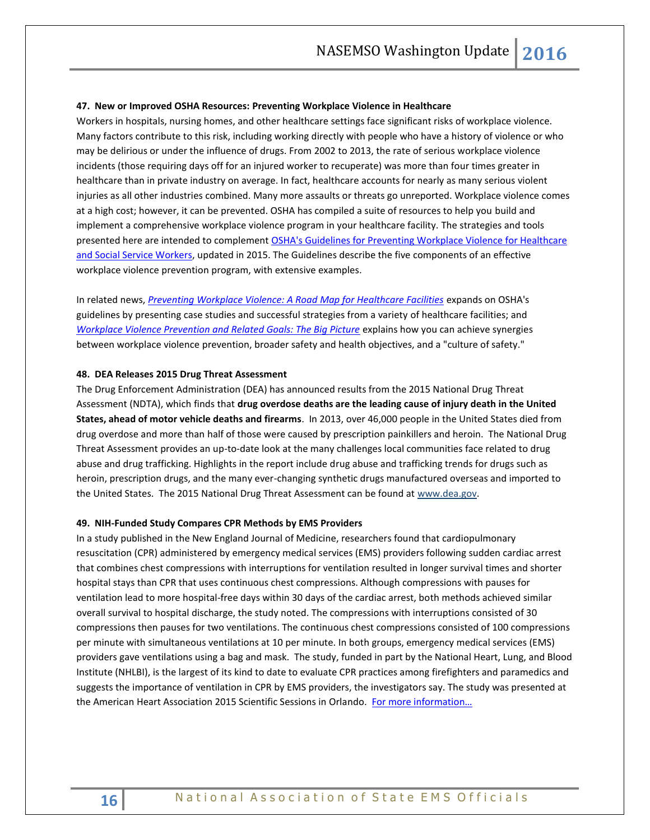#### **47. New or Improved OSHA Resources: Preventing Workplace Violence in Healthcare**

Workers in hospitals, nursing homes, and other healthcare settings face significant risks of workplace violence. Many factors contribute to this risk, including working directly with people who have a history of violence or who may be delirious or under the influence of drugs. From 2002 to 2013, the rate of serious workplace violence incidents (those requiring days off for an injured worker to recuperate) was more than four times greater in healthcare than in private industry on average. In fact, healthcare accounts for nearly as many serious violent injuries as all other industries combined. Many more assaults or threats go unreported. Workplace violence comes at a high cost; however, it can be prevented. OSHA has compiled a suite of resources to help you build and implement a comprehensive workplace violence program in your healthcare facility. The strategies and tools presented here are intended to complement [OSHA's Guidelines for Preventing Workplace Violence for Healthcare](https://www.osha.gov/Publications/osha3148.pdf)  [and Social Service Workers,](https://www.osha.gov/Publications/osha3148.pdf) updated in 2015. The Guidelines describe the five components of an effective workplace violence prevention program, with extensive examples.

In related news, *[Preventing Workplace Violence: A Road Map for Healthcare Facilities](https://www.osha.gov/Publications/OSHA3827.pdf)* expands on OSHA's guidelines by presenting case studies and successful strategies from a variety of healthcare facilities; and *[Workplace Violence Prevention and Related Goals: The Big Picture](https://www.osha.gov/Publications/OSHA3828.pdf)* explains how you can achieve synergies between workplace violence prevention, broader safety and health objectives, and a "culture of safety."

#### **48. DEA Releases 2015 Drug Threat Assessment**

The Drug Enforcement Administration (DEA) has announced results from the 2015 National Drug Threat Assessment (NDTA), which finds that **drug overdose deaths are the leading cause of injury death in the United States, ahead of motor vehicle deaths and firearms**. In 2013, over 46,000 people in the United States died from drug overdose and more than half of those were caused by prescription painkillers and heroin. The National Drug Threat Assessment provides an up-to-date look at the many challenges local communities face related to drug abuse and drug trafficking. Highlights in the report include drug abuse and trafficking trends for drugs such as heroin, prescription drugs, and the many ever-changing synthetic drugs manufactured overseas and imported to the United States. The 2015 National Drug Threat Assessment can be found at [www.dea.gov.](http://links.govdelivery.com/track?type=click&enid=ZWFzPTEmbWFpbGluZ2lkPTIwMTUxMTA0LjUxMDIzNjgxJm1lc3NhZ2VpZD1NREItUFJELUJVTC0yMDE1MTEwNC41MTAyMzY4MSZkYXRhYmFzZWlkPTEwMDEmc2VyaWFsPTE3MDUxMDM4JmVtYWlsaWQ9cm9iaW5zb25AbmFzZW1zby5vcmcmdXNlcmlkPXJvYmluc29uQG5hc2Vtc28ub3JnJmZsPSZleHRyYT1NdWx0aXZhcmlhdGVJZD0mJiY=&&&100&&&http://www.dea.gov/)

#### **49. NIH-Funded Study Compares CPR Methods by EMS Providers**

In a study published in the New England Journal of Medicine, researchers found that cardiopulmonary resuscitation (CPR) administered by emergency medical services (EMS) providers following sudden cardiac arrest that combines chest compressions with interruptions for ventilation resulted in longer survival times and shorter hospital stays than CPR that uses continuous chest compressions. Although compressions with pauses for ventilation lead to more hospital-free days within 30 days of the cardiac arrest, both methods achieved similar overall survival to hospital discharge, the study noted. The compressions with interruptions consisted of 30 compressions then pauses for two ventilations. The continuous chest compressions consisted of 100 compressions per minute with simultaneous ventilations at 10 per minute. In both groups, emergency medical services (EMS) providers gave ventilations using a bag and mask. The study, funded in part by the National Heart, Lung, and Blood Institute (NHLBI), is the largest of its kind to date to evaluate CPR practices among firefighters and paramedics and suggests the importance of ventilation in CPR by EMS providers, the investigators say. The study was presented at the American Heart Association 2015 Scientific Sessions in Orlando. [For more information…](http://www.nih.gov/news-events/news-releases/large-study-reports-results-comparing-two-cpr-methods-used-ems-providers-following-sudden-cardiac-arrest)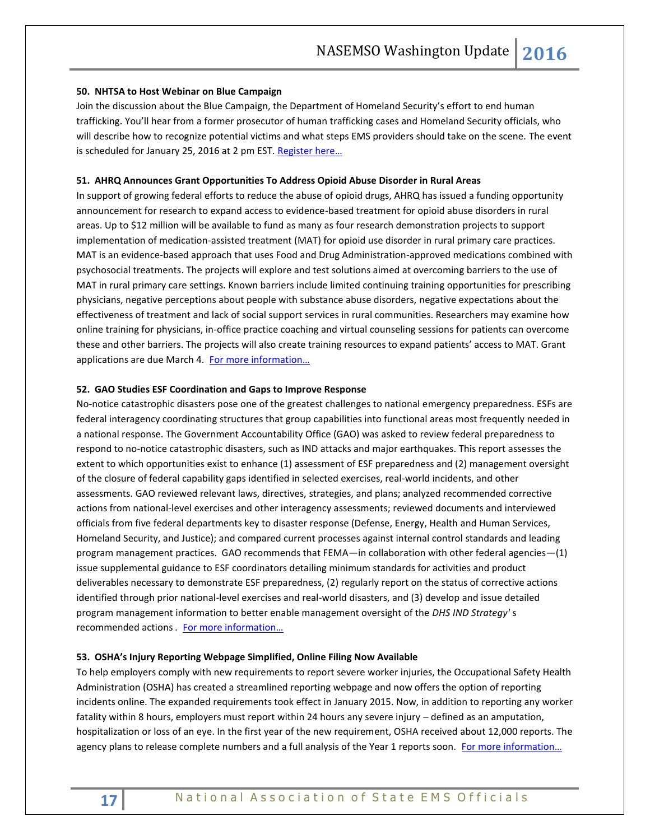#### **50. NHTSA to Host Webinar on Blue Campaign**

Join the discussion about the Blue Campaign, the Department of Homeland Security's effort to end human trafficking. You'll hear from a former prosecutor of human trafficking cases and Homeland Security officials, who will describe how to recognize potential victims and what steps EMS providers should take on the scene. The event is scheduled for January 25, 2016 at 2 pm EST. Register here...

#### **51. AHRQ Announces Grant Opportunities To Address Opioid Abuse Disorder in Rural Areas**

In support of growing federal efforts to reduce the abuse of opioid drugs, AHRQ has issued a funding opportunity announcement for research to expand access to evidence-based treatment for opioid abuse disorders in rural areas. Up to \$12 million will be available to fund as many as four research demonstration projects to support implementation of medication-assisted treatment (MAT) for opioid use disorder in rural primary care practices. MAT is an evidence-based approach that uses Food and Drug Administration-approved medications combined with psychosocial treatments. The projects will explore and test solutions aimed at overcoming barriers to the use of MAT in rural primary care settings. Known barriers include limited continuing training opportunities for prescribing physicians, negative perceptions about people with substance abuse disorders, negative expectations about the effectiveness of treatment and lack of social support services in rural communities. Researchers may examine how online training for physicians, in-office practice coaching and virtual counseling sessions for patients can overcome these and other barriers. The projects will also create training resources to expand patients' access to MAT. Grant applications are due March 4. For more information...

#### **52. GAO Studies ESF Coordination and Gaps to Improve Response**

No-notice catastrophic disasters pose one of the greatest challenges to national emergency preparedness. ESFs are federal interagency coordinating structures that group capabilities into functional areas most frequently needed in a national response. The Government Accountability Office (GAO) was asked to review federal preparedness to respond to no-notice catastrophic disasters, such as IND attacks and major earthquakes. This report assesses the extent to which opportunities exist to enhance (1) assessment of ESF preparedness and (2) management oversight of the closure of federal capability gaps identified in selected exercises, real-world incidents, and other assessments. GAO reviewed relevant laws, directives, strategies, and plans; analyzed recommended corrective actions from national-level exercises and other interagency assessments; reviewed documents and interviewed officials from five federal departments key to disaster response (Defense, Energy, Health and Human Services, Homeland Security, and Justice); and compared current processes against internal control standards and leading program management practices. GAO recommends that FEMA—in collaboration with other federal agencies—(1) issue supplemental guidance to ESF coordinators detailing minimum standards for activities and product deliverables necessary to demonstrate ESF preparedness, (2) regularly report on the status of corrective actions identified through prior national-level exercises and real-world disasters, and (3) develop and issue detailed program management information to better enable management oversight of the *DHS IND Strategy'* s recommended actions . For more information...

#### **53. OSHA's Injury Reporting Webpage Simplified, Online Filing Now Available**

To help employers comply with new requirements to report severe worker injuries, the Occupational Safety Health Administration (OSHA) has created a streamlined reporting webpage and now offers the option of reporting incidents online. The expanded requirements took effect in January 2015. Now, in addition to reporting any worker fatality within 8 hours, employers must report within 24 hours any severe injury – defined as an amputation, hospitalization or loss of an eye. In the first year of the new requirement, OSHA received about 12,000 reports. The agency plans to release complete numbers and a full analysis of the Year 1 reports soon. For more information...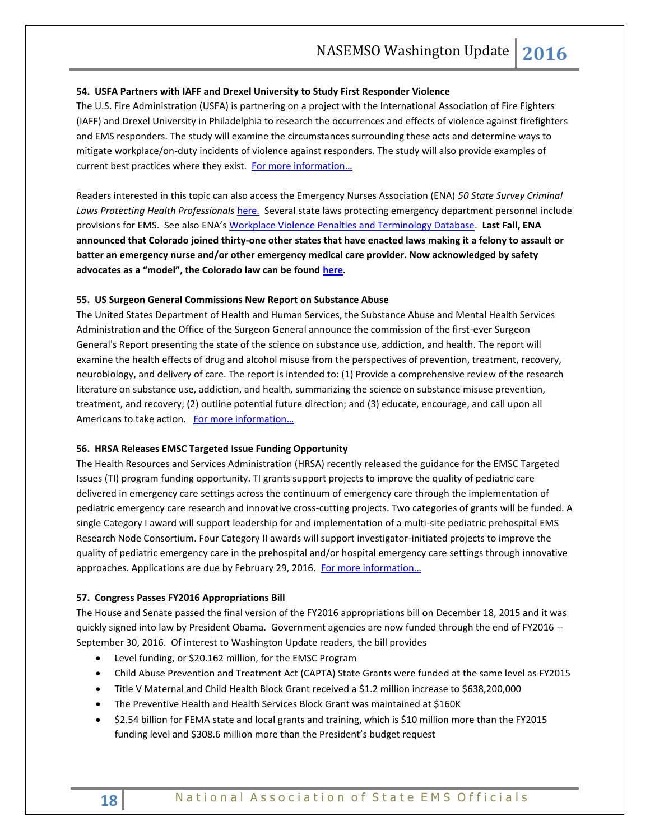#### **54. USFA Partners with IAFF and Drexel University to Study First Responder Violence**

The U.S. Fire Administration (USFA) is partnering on a project with the International Association of Fire Fighters (IAFF) and Drexel University in Philadelphia to research the occurrences and effects of violence against firefighters and EMS responders. The study will examine the circumstances surrounding these acts and determine ways to mitigate workplace/on-duty incidents of violence against responders. The study will also provide examples of current best practices where they exist. For more information...

Readers interested in this topic can also access the Emergency Nurses Association (ENA) *50 State Survey Criminal Laws Protecting Health Professionals* [here.](https://www.ena.org/government/State/Documents/StateLawsWorkplaceViolenceSheet.pdf) Several state laws protecting emergency department personnel include provisions for EMS. See also ENA's [Workplace Violence Penalties and Terminology Database.](https://www.ena.org/government/State/Documents/WPVPenalties.pdf) **Last Fall, ENA announced that Colorado joined thirty-one other states that have enacted laws making it a felony to assault or batter an emergency nurse and/or other emergency medical care provider. Now acknowledged by safety advocates as a "model", the Colorado law can be found [here.](http://www.leg.state.co.us/clics/clics2015a/csl.nsf/fsbillcont2/4B260F9643B580CA87257DA20061781B/$FILE/067_enr.pdf)**

#### **55. US Surgeon General Commissions New Report on Substance Abuse**

The United States Department of Health and Human Services, the Substance Abuse and Mental Health Services Administration and the Office of the Surgeon General announce the commission of the first-ever Surgeon General's Report presenting the state of the science on substance use, addiction, and health. The report will examine the health effects of drug and alcohol misuse from the perspectives of prevention, treatment, recovery, neurobiology, and delivery of care. The report is intended to: (1) Provide a comprehensive review of the research literature on substance use, addiction, and health, summarizing the science on substance misuse prevention, treatment, and recovery; (2) outline potential future direction; and (3) educate, encourage, and call upon all Americans to take action. [For more information…](https://www.gpo.gov/fdsys/pkg/FR-2015-12-31/pdf/2015-32929.pdf)

#### **56. HRSA Releases EMSC Targeted Issue Funding Opportunity**

The Health Resources and Services Administration (HRSA) recently released the guidance for the EMSC Targeted Issues (TI) program funding opportunity. TI grants support projects to improve the quality of pediatric care delivered in emergency care settings across the continuum of emergency care through the implementation of pediatric emergency care research and innovative cross-cutting projects. Two categories of grants will be funded. A single Category I award will support leadership for and implementation of a multi-site pediatric prehospital EMS Research Node Consortium. Four Category II awards will support investigator-initiated projects to improve the quality of pediatric emergency care in the prehospital and/or hospital emergency care settings through innovative approaches. Applications are due by February 29, 2016. For more information...

# **57. Congress Passes FY2016 Appropriations Bill**

The House and Senate passed the final version of the FY2016 appropriations bill on December 18, 2015 and it was quickly signed into law by President Obama. Government agencies are now funded through the end of FY2016 --September 30, 2016. Of interest to Washington Update readers, the bill provides

- Level funding, or \$20.162 million, for the EMSC Program
- Child Abuse Prevention and Treatment Act (CAPTA) State Grants were funded at the same level as FY2015
- Title V Maternal and Child Health Block Grant received a \$1.2 million increase to \$638,200,000
- The Preventive Health and Health Services Block Grant was maintained at \$160K
- \$2.54 billion for FEMA state and local grants and training, which is \$10 million more than the FY2015 funding level and \$308.6 million more than the President's budget request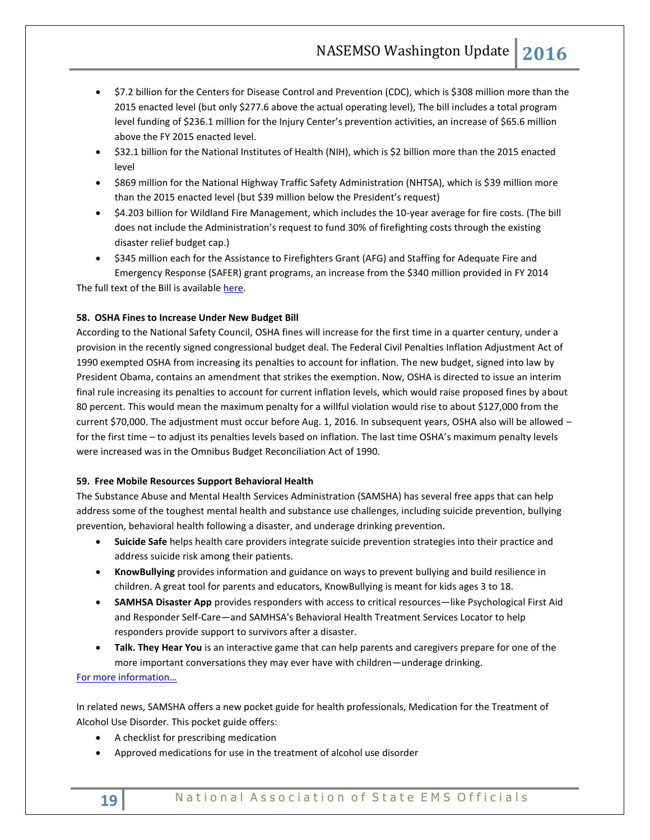- \$7.2 billion for the Centers for Disease Control and Prevention (CDC), which is \$308 million more than the 2015 enacted level (but only \$277.6 above the actual operating level), The bill includes a total program level funding of \$236.1 million for the Injury Center's prevention activities, an increase of \$65.6 million above the FY 2015 enacted level.
- \$32.1 billion for the National Institutes of Health (NIH), which is \$2 billion more than the 2015 enacted level
- \$869 million for the National Highway Traffic Safety Administration (NHTSA), which is \$39 million more than the 2015 enacted level (but \$39 million below the President's request)
- \$4.203 billion for Wildland Fire Management, which includes the 10-year average for fire costs. (The bill does not include the Administration's request to fund 30% of firefighting costs through the existing disaster relief budget cap.)
- \$345 million each for the Assistance to Firefighters Grant (AFG) and Staffing for Adequate Fire and Emergency Response (SAFER) grant programs, an increase from the \$340 million provided in FY 2014 The full text of the Bill is availabl[e here.](https://www.gpo.gov/fdsys/pkg/BILLS-114hr2029enr/pdf/BILLS-114hr2029enr.pdf)

# **58. OSHA Fines to Increase Under New Budget Bill**

According to the National Safety Council, OSHA fines will increase for the first time in a quarter century, under a provision in the recently signed congressional budget deal. The Federal Civil Penalties Inflation Adjustment Act of 1990 exempted OSHA from increasing its penalties to account for inflation. The new budget, signed into law by President Obama, contains an amendment that strikes the exemption. Now, OSHA is directed to issue an interim final rule increasing its penalties to account for current inflation levels, which would raise proposed fines by about 80 percent. This would mean the maximum penalty for a willful violation would rise to about \$127,000 from the current \$70,000. The adjustment must occur before Aug. 1, 2016. In subsequent years, OSHA also will be allowed – for the first time – to adjust its penalties levels based on inflation. The last time OSHA's maximum penalty levels were increased was in the Omnibus Budget Reconciliation Act of 1990.

#### **59. Free Mobile Resources Support Behavioral Health**

The Substance Abuse and Mental Health Services Administration (SAMSHA) has several free apps that can help address some of the toughest mental health and substance use challenges, including suicide prevention, bullying prevention, behavioral health following a disaster, and underage drinking prevention.

- **Suicide Safe** helps health care providers integrate suicide prevention strategies into their practice and address suicide risk among their patients.
- **KnowBullying** provides information and guidance on ways to prevent bullying and build resilience in children. A great tool for parents and educators, KnowBullying is meant for kids ages 3 to 18.
- **SAMHSA Disaster App** provides responders with access to critical resources—like Psychological First Aid and Responder Self-Care—and SAMHSA's Behavioral Health Treatment Services Locator to help responders provide support to survivors after a disaster.
- <span id="page-18-0"></span> **Talk. They Hear You** is an interactive game that can help parents and caregivers prepare for one of the more important conversations they may ever have with children—underage drinking.

# [For more information…](http://store.samhsa.gov/apps/?WT.mc_id=EB_20160105_OSAS_NAHNWebinar)

In related news, SAMSHA offers a new pocket guide for health professionals, Medication for the Treatment of Alcohol Use Disorder. This pocket guide offers:

- A checklist for prescribing medication
- Approved medications for use in the treatment of alcohol use disorder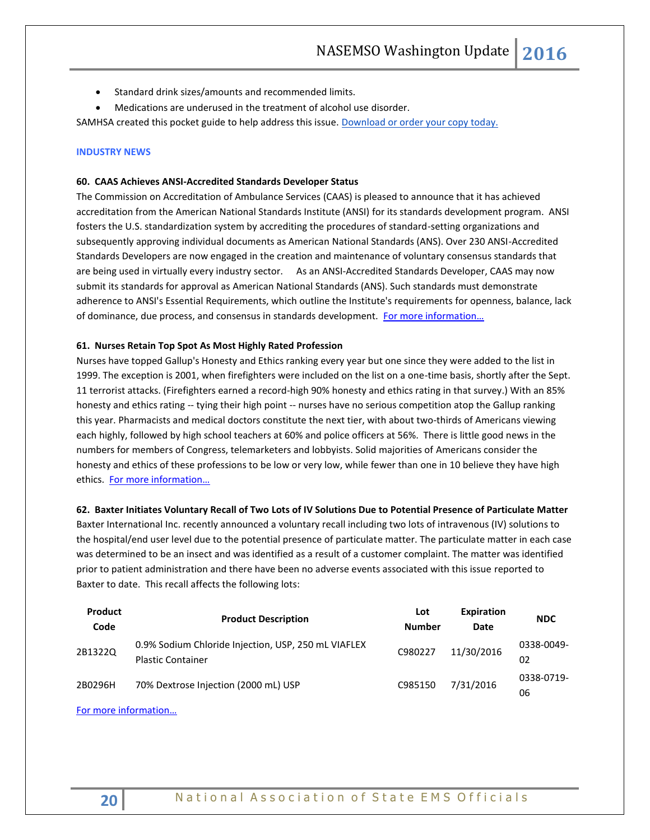- Standard drink sizes/amounts and recommended limits.
- Medications are underused in the treatment of alcohol use disorder.

SAMHSA created this pocket guide to help address this issue. [Download or order your copy today.](http://links.govdelivery.com/track?type=click&enid=ZWFzPTEmbWFpbGluZ2lkPTIwMTUxMTAyLjUwOTM1OTgxJm1lc3NhZ2VpZD1NREItUFJELUJVTC0yMDE1MTEwMi41MDkzNTk4MSZkYXRhYmFzZWlkPTEwMDEmc2VyaWFsPTE3MjE0NDc5JmVtYWlsaWQ9cm9iaW5zb25AbmFzZW1zby5vcmcmdXNlcmlkPXJvYmluc29uQG5hc2Vtc28ub3JnJmZsPSZleHRyYT1NdWx0aXZhcmlhdGVJZD0mJiY=&&&103&&&http://store.samhsa.gov/product/SMA15-4907POCKETGUID?WT.mc_id=EB_20151102_PocketGuide)

#### **INDUSTRY NEWS**

#### **60. CAAS Achieves ANSI-Accredited Standards Developer Status**

The Commission on Accreditation of Ambulance Services (CAAS) is pleased to announce that it has achieved accreditation from the American National Standards Institute (ANSI) for its standards development program. ANSI fosters the U.S. standardization system by accrediting the procedures of standard-setting organizations and subsequently approving individual documents as American National Standards (ANS). Over 230 ANSI-Accredited Standards Developers are now engaged in the creation and maintenance of voluntary consensus standards that are being used in virtually every industry sector. As an ANSI-Accredited Standards Developer, CAAS may now submit its standards for approval as American National Standards (ANS). Such standards must demonstrate adherence to ANSI's Essential Requirements, which outline the Institute's requirements for openness, balance, lack of dominance, due process, and consensus in standards development. [For more information…](http://www.caas.org/news/caas-news/the-commission-on-accreditation-of-ambulance-services-caas-becomes-an-ansi-accredited-standards-developer)

#### **61. Nurses Retain Top Spot As Most Highly Rated Profession**

Nurses have topped Gallup's Honesty and Ethics ranking every year but one since they were added to the list in 1999. The exception is 2001, when firefighters were included on the list on a one-time basis, shortly after the Sept. 11 terrorist attacks. (Firefighters earned a record-high 90% honesty and ethics rating in that survey.) With an 85% honesty and ethics rating -- tying their high point -- nurses have no serious competition atop the Gallup ranking this year. Pharmacists and medical doctors constitute the next tier, with about two-thirds of Americans viewing each highly, followed by high school teachers at 60% and police officers at 56%. There is little good news in the numbers for members of Congress, telemarketers and lobbyists. Solid majorities of Americans consider the honesty and ethics of these professions to be low or very low, while fewer than one in 10 believe they have high ethics. [For more information…](http://www.gallup.com/)

#### **62. Baxter Initiates Voluntary Recall of Two Lots of IV Solutions Due to Potential Presence of Particulate Matter**

Baxter International Inc. recently announced a voluntary recall including two lots of intravenous (IV) solutions to the hospital/end user level due to the potential presence of particulate matter. The particulate matter in each case was determined to be an insect and was identified as a result of a customer complaint. The matter was identified prior to patient administration and there have been no adverse events associated with this issue reported to Baxter to date. This recall affects the following lots:

| Product<br>Code | <b>Product Description</b>                                                      | Lot<br><b>Number</b> | Expiration<br>Date | <b>NDC</b>       |
|-----------------|---------------------------------------------------------------------------------|----------------------|--------------------|------------------|
| 2B1322Q         | 0.9% Sodium Chloride Injection, USP, 250 mL VIAFLEX<br><b>Plastic Container</b> | C980227              | 11/30/2016         | 0338-0049-<br>02 |
| 2B0296H         | 70% Dextrose Injection (2000 mL) USP                                            | C985150              | 7/31/2016          | 0338-0719-<br>06 |

[For more information…](http://www.fda.gov/Safety/Recalls/ucm479877.htm)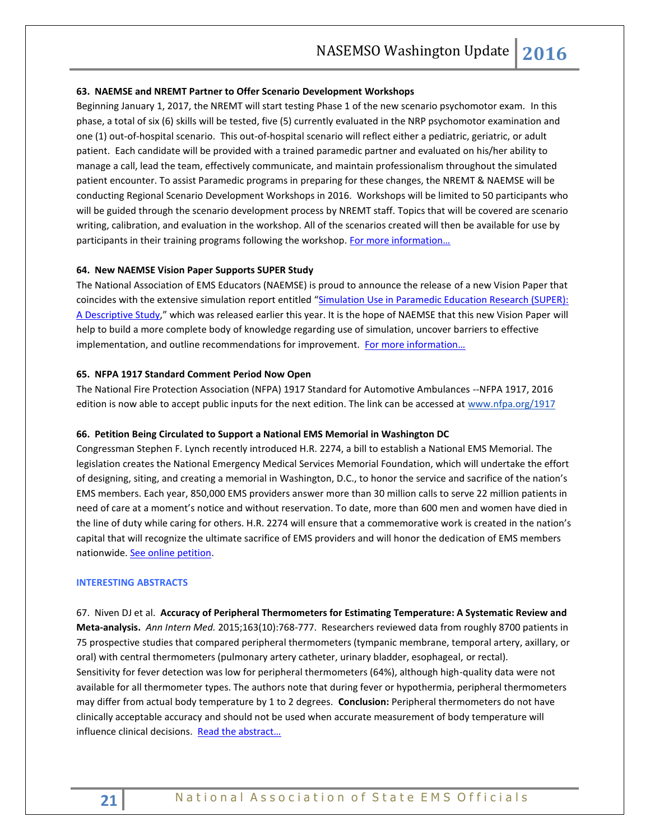#### **63. NAEMSE and NREMT Partner to Offer Scenario Development Workshops**

Beginning January 1, 2017, the NREMT will start testing Phase 1 of the new scenario psychomotor exam. In this phase, a total of six (6) skills will be tested, five (5) currently evaluated in the NRP psychomotor examination and one (1) out-of-hospital scenario. This out-of-hospital scenario will reflect either a pediatric, geriatric, or adult patient. Each candidate will be provided with a trained paramedic partner and evaluated on his/her ability to manage a call, lead the team, effectively communicate, and maintain professionalism throughout the simulated patient encounter. To assist Paramedic programs in preparing for these changes, the NREMT & NAEMSE will be conducting Regional Scenario Development Workshops in 2016. Workshops will be limited to 50 participants who will be guided through the scenario development process by NREMT staff. Topics that will be covered are scenario writing, calibration, and evaluation in the workshop. All of the scenarios created will then be available for use by participants in their training programs following the workshop. [For more information…](http://naemse.org/?page=nremt)

#### **64. New NAEMSE Vision Paper Supports SUPER Study**

The National Association of EMS Educators (NAEMSE) is proud to announce the release of a new Vision Paper that coincides with the extensive simulation report entitled "[Simulation Use in Paramedic Education Research \(SUPER\):](http://www.tandfonline.com/doi/abs/10.3109/10903127.2014.995845?journalCode=ipec20)  [A Descriptive Study,](http://www.tandfonline.com/doi/abs/10.3109/10903127.2014.995845?journalCode=ipec20)" which was released earlier this year. It is the hope of NAEMSE that this new Vision Paper will help to build a more complete body of knowledge regarding use of simulation, uncover barriers to effective implementation, and outline recommendations for improvement. For more information...

#### **65. NFPA 1917 Standard Comment Period Now Open**

The National Fire Protection Association (NFPA) 1917 Standard for Automotive Ambulances --NFPA 1917, 2016 edition is now able to accept public inputs for the next edition. The link can be accessed at [www.nfpa.org/1917](http://www.nfpa.org/1917)

#### **66. Petition Being Circulated to Support a National EMS Memorial in Washington DC**

Congressman Stephen F. Lynch recently introduced H.R. 2274, a bill to establish a National EMS Memorial. The legislation creates the National Emergency Medical Services Memorial Foundation, which will undertake the effort of designing, siting, and creating a memorial in Washington, D.C., to honor the service and sacrifice of the nation's EMS members. Each year, 850,000 EMS providers answer more than 30 million calls to serve 22 million patients in need of care at a moment's notice and without reservation. To date, more than 600 men and women have died in the line of duty while caring for others. H.R. 2274 will ensure that a commemorative work is created in the nation's capital that will recognize the ultimate sacrifice of EMS providers and will honor the dedication of EMS members nationwide[. See online petition.](https://petitions.whitehouse.gov/petition/support-hr-2274-bill-establish-national-emergency-medical-services-memorial-washington-dc)

# <span id="page-20-0"></span>**INTERESTING ABSTRACTS**

67. Niven DJ et al. **Accuracy of Peripheral Thermometers for Estimating Temperature: A Systematic Review and Meta-analysis.** *Ann Intern Med.* 2015;163(10):768-777. Researchers reviewed data from roughly 8700 patients in 75 prospective studies that compared peripheral thermometers (tympanic membrane, temporal artery, axillary, or oral) with central thermometers (pulmonary artery catheter, urinary bladder, esophageal, or rectal). Sensitivity for fever detection was low for peripheral thermometers (64%), although high-quality data were not available for all thermometer types. The authors note that during fever or hypothermia, peripheral thermometers may differ from actual body temperature by 1 to 2 degrees. **Conclusion:** Peripheral thermometers do not have clinically acceptable accuracy and should not be used when accurate measurement of body temperature will influence clinical decisions. [Read the abstract…](http://annals.org/article.aspx?articleid=2470325)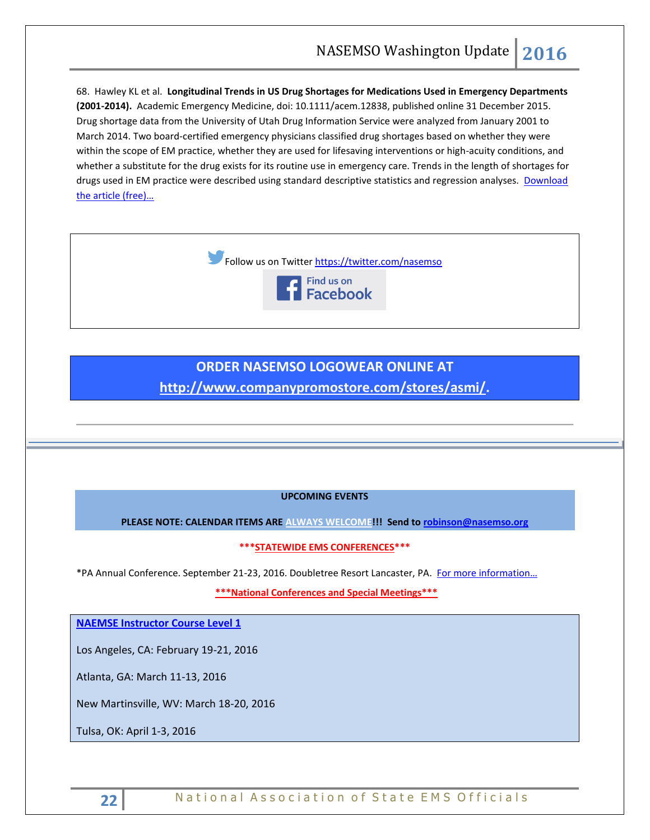68. Hawley KL et al. **Longitudinal Trends in US Drug Shortages for Medications Used in Emergency Departments (2001-2014).** Academic Emergency Medicine, doi: 10.1111/acem.12838, published online 31 December 2015. Drug shortage data from the University of Utah Drug Information Service were analyzed from January 2001 to March 2014. Two board-certified emergency physicians classified drug shortages based on whether they were within the scope of EM practice, whether they are used for lifesaving interventions or high-acuity conditions, and whether a substitute for the drug exists for its routine use in emergency care. Trends in the length of shortages for drugs used in EM practice were described using standard descriptive statistics and regression analyses. Download [the article \(free\)…](http://onlinelibrary.wiley.com/doi/10.1111/acem.12838/abstract)



# **ORDER NASEMSO LOGOWEAR ONLINE AT [http://www.companypromostore.com/stores/asmi/.](http://www.companypromostore.com/stores/asmi/)**

# **UPCOMING EVENTS**

PLEASE NOTE: CALENDAR ITEMS ARE ALWAYS WELCOME !!! Send to **robinson@nasemso.org** 

**\*\*\*STATEWIDE EMS CONFERENCES\*\*\***

\*PA Annual Conference. September 21-23, 2016. Doubletree Resort Lancaster, PA. [For more information…](http://www.pehsc.org/)

**\*\*\*National Conferences and Special Meetings\*\*\***

**[NAEMSE Instructor Course Level 1](http://naemse.org/?page=LVL1InstructorCourse)**

Los Angeles, CA: February 19-21, 2016

Atlanta, GA: March 11-13, 2016

New Martinsville, WV: March 18-20, 2016

Tulsa, OK: April 1-3, 2016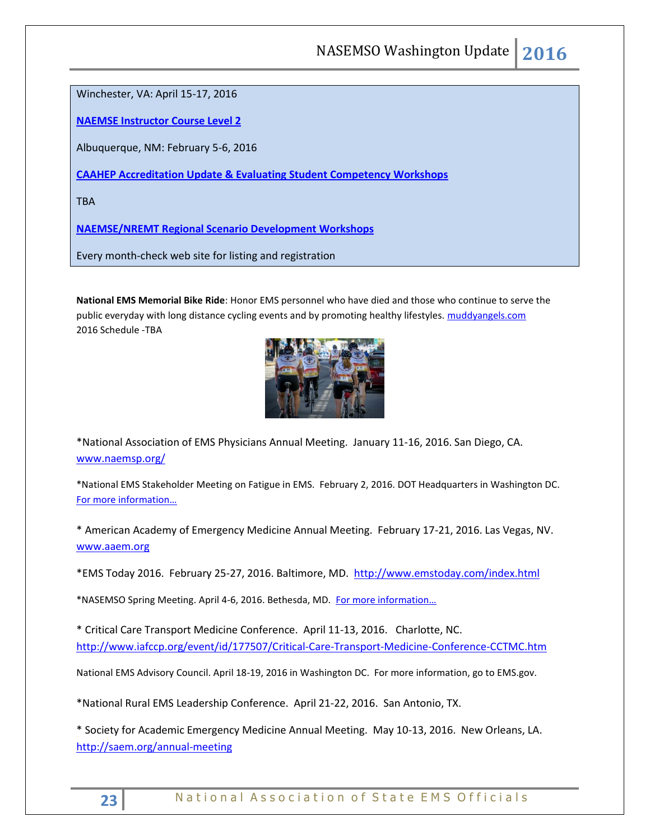Winchester, VA: April 15-17, 2016

**[NAEMSE Instructor Course Level 2](http://naemse.org/?page=LVL2InstructorCourse)**

Albuquerque, NM: February 5-6, 2016

**[CAAHEP Accreditation Update & Evaluating Student Competency Workshops](http://naemse.org/?page=coaemsp)**

**TRA** 

**[NAEMSE/NREMT Regional Scenario Development Workshops](http://naemse.org/?page=nremt)**

Every month-check web site for listing and registration

**National EMS Memorial Bike Ride**: Honor EMS personnel who have died and those who continue to serve the public everyday with long distance cycling events and by promoting healthy lifestyles. [muddyangels.com](http://www.muddyangels.com/) 2016 Schedule -TBA



\*National Association of EMS Physicians Annual Meeting. January 11-16, 2016. San Diego, CA. [www.naemsp.org/](http://www.naemsp.org/)

\*National EMS Stakeholder Meeting on Fatigue in EMS. February 2, 2016. DOT Headquarters in Washington DC. [For more information…](https://www.gpo.gov/fdsys/pkg/FR-2016-01-11/pdf/2016-296.pdf)

\* American Academy of Emergency Medicine Annual Meeting. February 17-21, 2016. Las Vegas, NV. [www.aaem.org](http://www.aaem.org/)

\*EMS Today 2016. February 25-27, 2016. Baltimore, MD.<http://www.emstoday.com/index.html>

\*NASEMSO Spring Meeting. April 4-6, 2016. Bethesda, MD. [For more information…](http://www.nasemso.org/Meetings/MidYear/index.asp)

\* Critical Care Transport Medicine Conference. April 11-13, 2016. Charlotte, NC. <http://www.iafccp.org/event/id/177507/Critical-Care-Transport-Medicine-Conference-CCTMC.htm>

National EMS Advisory Council. April 18-19, 2016 in Washington DC. For more information, go to EMS.gov.

\*National Rural EMS Leadership Conference. April 21-22, 2016. San Antonio, TX.

\* Society for Academic Emergency Medicine Annual Meeting. May 10-13, 2016. New Orleans, LA. <http://saem.org/annual-meeting>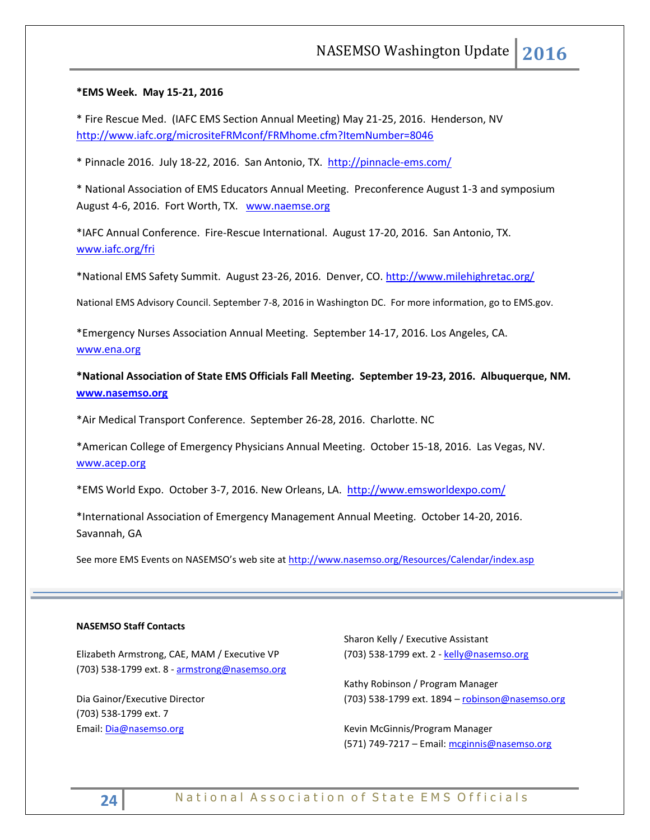# **\*EMS Week. May 15-21, 2016**

\* Fire Rescue Med. (IAFC EMS Section Annual Meeting) May 21-25, 2016. Henderson, NV <http://www.iafc.org/micrositeFRMconf/FRMhome.cfm?ItemNumber=8046>

\* Pinnacle 2016. July 18-22, 2016. San Antonio, TX. <http://pinnacle-ems.com/>

\* National Association of EMS Educators Annual Meeting. Preconference August 1-3 and symposium August 4-6, 2016. Fort Worth, TX. [www.naemse.org](http://www.naemse.org/)

\*IAFC Annual Conference. Fire-Rescue International. August 17-20, 2016. San Antonio, TX. [www.iafc.org/fri](http://www.iafc.org/fri?utm_source=IAFC_Site&utm_medium=Conferences_Page&utm_campaign=FRI_Conference_Page_Visitors)

\*National EMS Safety Summit. August 23-26, 2016. Denver, CO.<http://www.milehighretac.org/>

National EMS Advisory Council. September 7-8, 2016 in Washington DC. For more information, go to EMS.gov.

\*Emergency Nurses Association Annual Meeting. September 14-17, 2016. Los Angeles, CA. [www.ena.org](http://www.ena.org/) 

**\*National Association of State EMS Officials Fall Meeting. September 19-23, 2016. Albuquerque, NM. [www.nasemso.org](http://www.nasemso.org/)**

\*Air Medical Transport Conference. September 26-28, 2016. Charlotte. NC

\*American College of Emergency Physicians Annual Meeting. October 15-18, 2016. Las Vegas, NV. [www.acep.org](http://www.acep.org/)

\*EMS World Expo. October 3-7, 2016. New Orleans, LA. <http://www.emsworldexpo.com/>

\*International Association of Emergency Management Annual Meeting. October 14-20, 2016. Savannah, GA

See more EMS Events on NASEMSO's web site at <http://www.nasemso.org/Resources/Calendar/index.asp>

#### **NASEMSO Staff Contacts**

Elizabeth Armstrong, CAE, MAM / Executive VP (703) 538-1799 ext. 8 - [armstrong@nasemso.org](mailto:armstrong@nasemso.org)

Dia Gainor/Executive Director (703) 538-1799 ext. 7 Email: [Dia@nasemso.org](mailto:Dia@nasemso.org)

Sharon Kelly / Executive Assistant (703) 538-1799 ext. 2 - [kelly@nasemso.org](mailto:kelly@nasemso.org)

Kathy Robinson / Program Manager (703) 538-1799 ext. 1894 - [robinson@nasemso.org](mailto:robinson@nasemso.org)

Kevin McGinnis/Program Manager (571) 749-7217 - Email: [mcginnis@nasemso.org](mailto:mcginnis@nasemso.org)